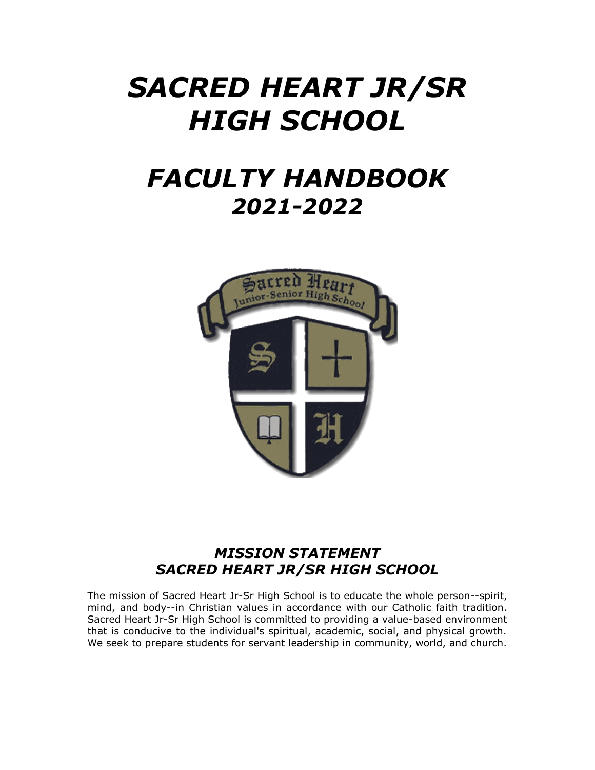# *SACRED HEART JR/SR HIGH SCHOOL*

# *FACULTY HANDBOOK 2021-2022*



## *MISSION STATEMENT SACRED HEART JR/SR HIGH SCHOOL*

The mission of Sacred Heart Jr-Sr High School is to educate the whole person--spirit, mind, and body--in Christian values in accordance with our Catholic faith tradition. Sacred Heart Jr-Sr High School is committed to providing a value-based environment that is conducive to the individual's spiritual, academic, social, and physical growth. We seek to prepare students for servant leadership in community, world, and church.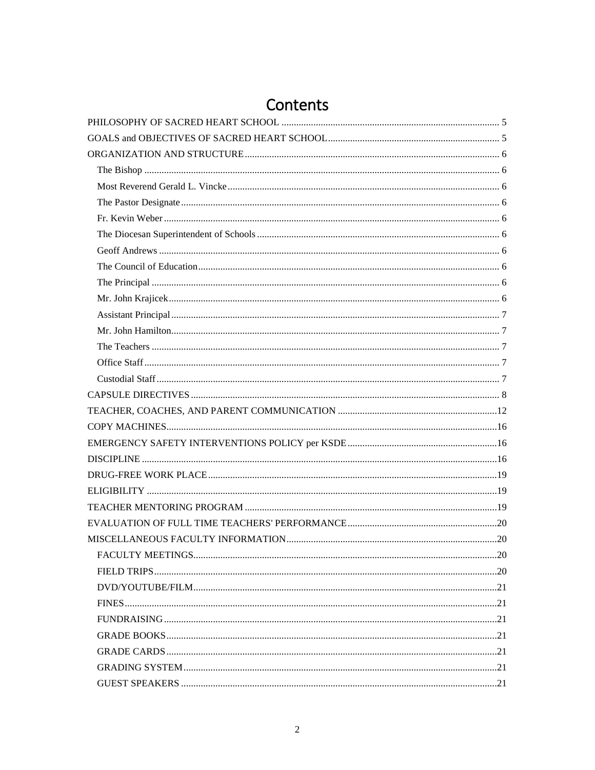# Contents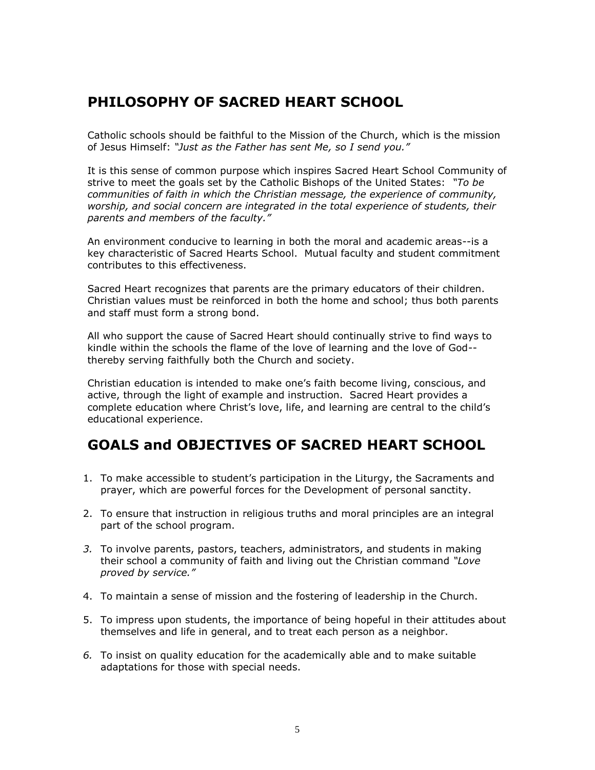## <span id="page-4-0"></span>**PHILOSOPHY OF SACRED HEART SCHOOL**

Catholic schools should be faithful to the Mission of the Church, which is the mission of Jesus Himself: *"Just as the Father has sent Me, so I send you."*

It is this sense of common purpose which inspires Sacred Heart School Community of strive to meet the goals set by the Catholic Bishops of the United States: *"To be communities of faith in which the Christian message, the experience of community, worship, and social concern are integrated in the total experience of students, their parents and members of the faculty."*

An environment conducive to learning in both the moral and academic areas--is a key characteristic of Sacred Hearts School. Mutual faculty and student commitment contributes to this effectiveness.

Sacred Heart recognizes that parents are the primary educators of their children. Christian values must be reinforced in both the home and school; thus both parents and staff must form a strong bond.

All who support the cause of Sacred Heart should continually strive to find ways to kindle within the schools the flame of the love of learning and the love of God- thereby serving faithfully both the Church and society.

Christian education is intended to make one's faith become living, conscious, and active, through the light of example and instruction.Sacred Heart provides a complete education where Christ's love, life, and learning are central to the child's educational experience.

# <span id="page-4-1"></span>**GOALS and OBJECTIVES OF SACRED HEART SCHOOL**

- 1. To make accessible to student's participation in the Liturgy, the Sacraments and prayer, which are powerful forces for the Development of personal sanctity.
- 2. To ensure that instruction in religious truths and moral principles are an integral part of the school program.
- *3.* To involve parents, pastors, teachers, administrators, and students in making their school a community of faith and living out the Christian command *"Love proved by service."*
- 4. To maintain a sense of mission and the fostering of leadership in the Church.
- 5. To impress upon students, the importance of being hopeful in their attitudes about themselves and life in general, and to treat each person as a neighbor.
- *6.* To insist on quality education for the academically able and to make suitable adaptations for those with special needs.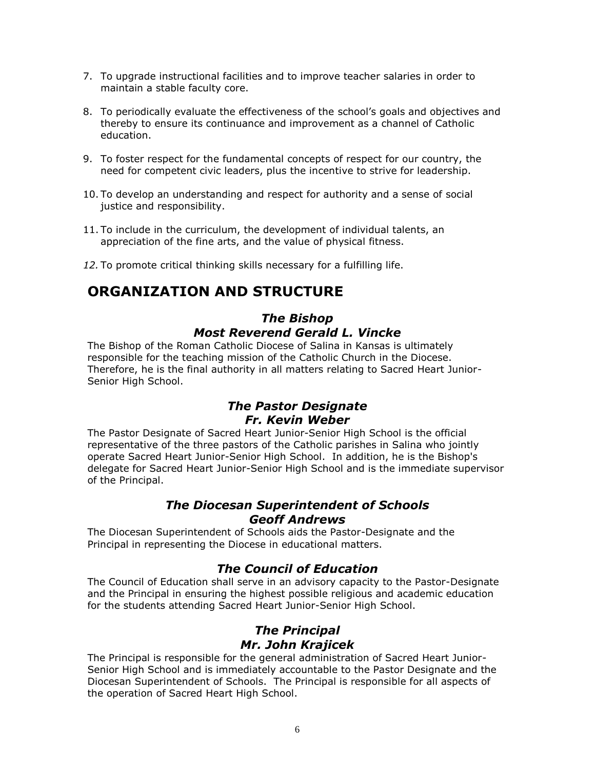- 7. To upgrade instructional facilities and to improve teacher salaries in order to maintain a stable faculty core.
- 8. To periodically evaluate the effectiveness of the school's goals and objectives and thereby to ensure its continuance and improvement as a channel of Catholic education.
- 9. To foster respect for the fundamental concepts of respect for our country, the need for competent civic leaders, plus the incentive to strive for leadership.
- 10. To develop an understanding and respect for authority and a sense of social justice and responsibility.
- 11. To include in the curriculum, the development of individual talents, an appreciation of the fine arts, and the value of physical fitness.
- *12.* To promote critical thinking skills necessary for a fulfilling life.

## <span id="page-5-1"></span><span id="page-5-0"></span>**ORGANIZATION AND STRUCTURE**

#### *The Bishop Most Reverend Gerald L. Vincke*

<span id="page-5-2"></span>The Bishop of the Roman Catholic Diocese of Salina in Kansas is ultimately responsible for the teaching mission of the Catholic Church in the Diocese. Therefore, he is the final authority in all matters relating to Sacred Heart Junior-Senior High School.

#### *The Pastor Designate Fr. Kevin Weber*

<span id="page-5-4"></span><span id="page-5-3"></span>The Pastor Designate of Sacred Heart Junior-Senior High School is the official representative of the three pastors of the Catholic parishes in Salina who jointly operate Sacred Heart Junior-Senior High School. In addition, he is the Bishop's delegate for Sacred Heart Junior-Senior High School and is the immediate supervisor of the Principal.

#### *The Diocesan Superintendent of Schools Geoff Andrews*

<span id="page-5-6"></span><span id="page-5-5"></span>The Diocesan Superintendent of Schools aids the Pastor-Designate and the Principal in representing the Diocese in educational matters.

#### *The Council of Education*

<span id="page-5-7"></span>The Council of Education shall serve in an advisory capacity to the Pastor-Designate and the Principal in ensuring the highest possible religious and academic education for the students attending Sacred Heart Junior-Senior High School.

#### *The Principal Mr. John Krajicek*

<span id="page-5-9"></span><span id="page-5-8"></span>The Principal is responsible for the general administration of Sacred Heart Junior-Senior High School and is immediately accountable to the Pastor Designate and the Diocesan Superintendent of Schools. The Principal is responsible for all aspects of the operation of Sacred Heart High School.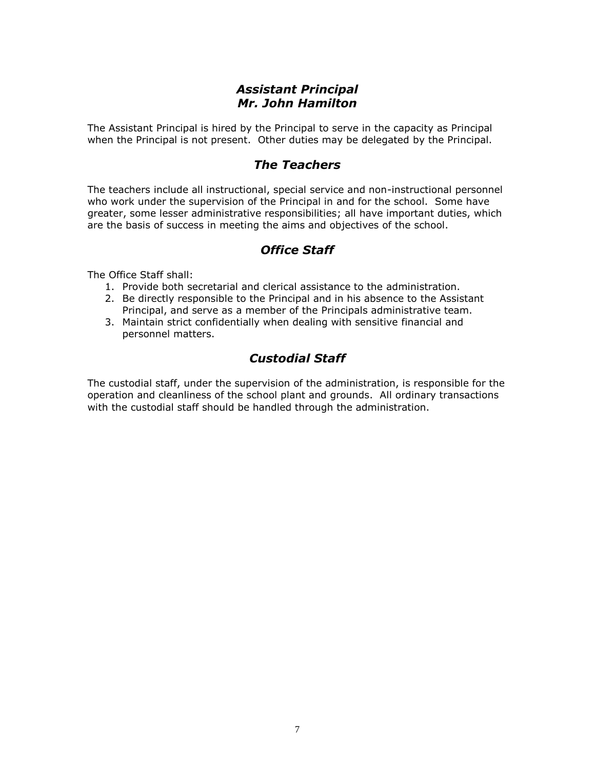#### *Assistant Principal Mr. John Hamilton*

<span id="page-6-1"></span><span id="page-6-0"></span>The Assistant Principal is hired by the Principal to serve in the capacity as Principal when the Principal is not present. Other duties may be delegated by the Principal.

#### *The Teachers*

<span id="page-6-2"></span>The teachers include all instructional, special service and non-instructional personnel who work under the supervision of the Principal in and for the school. Some have greater, some lesser administrative responsibilities; all have important duties, which are the basis of success in meeting the aims and objectives of the school.

#### *Office Staff*

<span id="page-6-3"></span>The Office Staff shall:

- 1. Provide both secretarial and clerical assistance to the administration.
- 2. Be directly responsible to the Principal and in his absence to the Assistant Principal, and serve as a member of the Principals administrative team.
- 3. Maintain strict confidentially when dealing with sensitive financial and personnel matters.

#### *Custodial Staff*

<span id="page-6-4"></span>The custodial staff, under the supervision of the administration, is responsible for the operation and cleanliness of the school plant and grounds. All ordinary transactions with the custodial staff should be handled through the administration.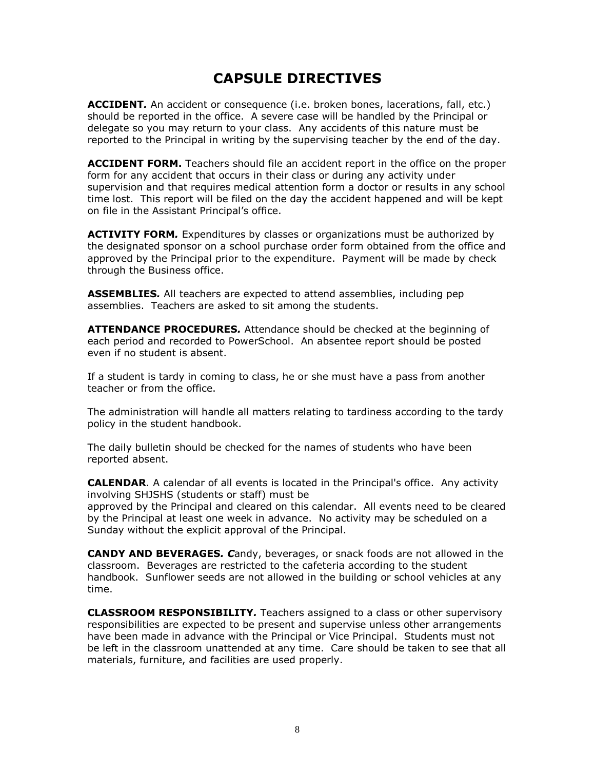## **CAPSULE DIRECTIVES**

<span id="page-7-0"></span>**ACCIDENT***.* An accident or consequence (i.e. broken bones, lacerations, fall, etc.) should be reported in the office. A severe case will be handled by the Principal or delegate so you may return to your class. Any accidents of this nature must be reported to the Principal in writing by the supervising teacher by the end of the day.

**ACCIDENT FORM.** Teachers should file an accident report in the office on the proper form for any accident that occurs in their class or during any activity under supervision and that requires medical attention form a doctor or results in any school time lost. This report will be filed on the day the accident happened and will be kept on file in the Assistant Principal's office.

**ACTIVITY FORM***.* Expenditures by classes or organizations must be authorized by the designated sponsor on a school purchase order form obtained from the office and approved by the Principal prior to the expenditure. Payment will be made by check through the Business office.

**ASSEMBLIES***.* All teachers are expected to attend assemblies, including pep assemblies. Teachers are asked to sit among the students.

**ATTENDANCE PROCEDURES***.* Attendance should be checked at the beginning of each period and recorded to PowerSchool. An absentee report should be posted even if no student is absent.

If a student is tardy in coming to class, he or she must have a pass from another teacher or from the office.

The administration will handle all matters relating to tardiness according to the tardy policy in the student handbook.

The daily bulletin should be checked for the names of students who have been reported absent.

**CALENDAR***.* A calendar of all events is located in the Principal's office. Any activity involving SHJSHS (students or staff) must be approved by the Principal and cleared on this calendar. All events need to be cleared by the Principal at least one week in advance. No activity may be scheduled on a

Sunday without the explicit approval of the Principal.

**CANDY AND BEVERAGES***. C*andy, beverages, or snack foods are not allowed in the classroom. Beverages are restricted to the cafeteria according to the student handbook. Sunflower seeds are not allowed in the building or school vehicles at any time.

**CLASSROOM RESPONSIBILITY***.* Teachers assigned to a class or other supervisory responsibilities are expected to be present and supervise unless other arrangements have been made in advance with the Principal or Vice Principal. Students must not be left in the classroom unattended at any time. Care should be taken to see that all materials, furniture, and facilities are used properly.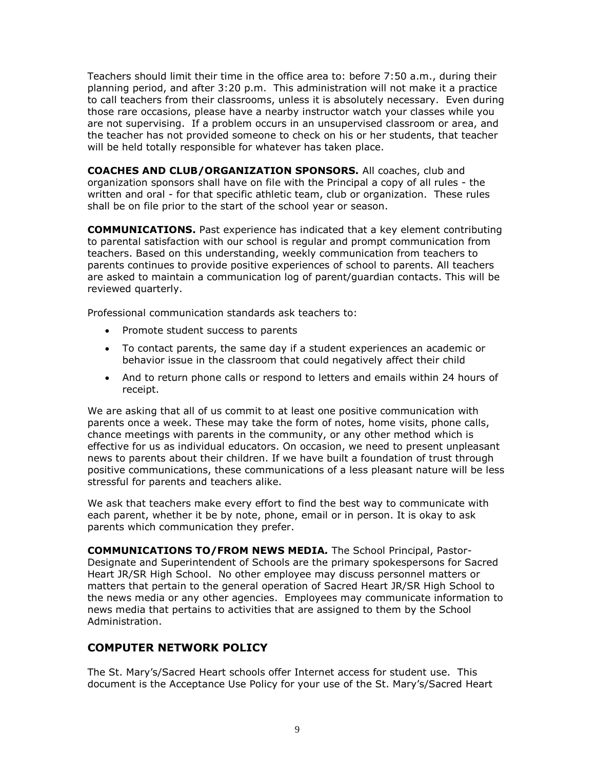Teachers should limit their time in the office area to: before 7:50 a.m., during their planning period, and after 3:20 p.m. This administration will not make it a practice to call teachers from their classrooms, unless it is absolutely necessary. Even during those rare occasions, please have a nearby instructor watch your classes while you are not supervising. If a problem occurs in an unsupervised classroom or area, and the teacher has not provided someone to check on his or her students, that teacher will be held totally responsible for whatever has taken place.

**COACHES AND CLUB/ORGANIZATION SPONSORS.** All coaches, club and organization sponsors shall have on file with the Principal a copy of all rules - the written and oral - for that specific athletic team, club or organization. These rules shall be on file prior to the start of the school year or season.

**COMMUNICATIONS.** Past experience has indicated that a key element contributing to parental satisfaction with our school is regular and prompt communication from teachers. Based on this understanding, weekly communication from teachers to parents continues to provide positive experiences of school to parents. All teachers are asked to maintain a communication log of parent/guardian contacts. This will be reviewed quarterly.

Professional communication standards ask teachers to:

- Promote student success to parents
- To contact parents, the same day if a student experiences an academic or behavior issue in the classroom that could negatively affect their child
- And to return phone calls or respond to letters and emails within 24 hours of receipt.

We are asking that all of us commit to at least one positive communication with parents once a week. These may take the form of notes, home visits, phone calls, chance meetings with parents in the community, or any other method which is effective for us as individual educators. On occasion, we need to present unpleasant news to parents about their children. If we have built a foundation of trust through positive communications, these communications of a less pleasant nature will be less stressful for parents and teachers alike.

We ask that teachers make every effort to find the best way to communicate with each parent, whether it be by note, phone, email or in person. It is okay to ask parents which communication they prefer.

**COMMUNICATIONS TO/FROM NEWS MEDIA***.* The School Principal, Pastor-Designate and Superintendent of Schools are the primary spokespersons for Sacred Heart JR/SR High School. No other employee may discuss personnel matters or matters that pertain to the general operation of Sacred Heart JR/SR High School to the news media or any other agencies. Employees may communicate information to news media that pertains to activities that are assigned to them by the School Administration.

#### **COMPUTER NETWORK POLICY**

The St. Mary's/Sacred Heart schools offer Internet access for student use. This document is the Acceptance Use Policy for your use of the St. Mary's/Sacred Heart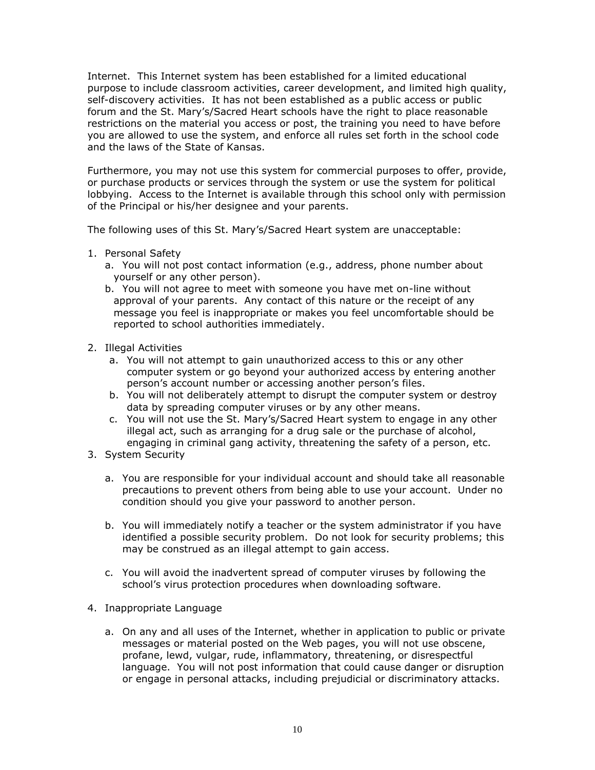Internet. This Internet system has been established for a limited educational purpose to include classroom activities, career development, and limited high quality, self-discovery activities. It has not been established as a public access or public forum and the St. Mary's/Sacred Heart schools have the right to place reasonable restrictions on the material you access or post, the training you need to have before you are allowed to use the system, and enforce all rules set forth in the school code and the laws of the State of Kansas.

Furthermore, you may not use this system for commercial purposes to offer, provide, or purchase products or services through the system or use the system for political lobbying. Access to the Internet is available through this school only with permission of the Principal or his/her designee and your parents.

The following uses of this St. Mary's/Sacred Heart system are unacceptable:

- 1. Personal Safety
	- a. You will not post contact information (e.g., address, phone number about yourself or any other person).
	- b. You will not agree to meet with someone you have met on-line without approval of your parents. Any contact of this nature or the receipt of any message you feel is inappropriate or makes you feel uncomfortable should be reported to school authorities immediately.
- 2. Illegal Activities
	- a. You will not attempt to gain unauthorized access to this or any other computer system or go beyond your authorized access by entering another person's account number or accessing another person's files.
	- b. You will not deliberately attempt to disrupt the computer system or destroy data by spreading computer viruses or by any other means.
	- c. You will not use the St. Mary's/Sacred Heart system to engage in any other illegal act, such as arranging for a drug sale or the purchase of alcohol, engaging in criminal gang activity, threatening the safety of a person, etc.
- 3. System Security
	- a. You are responsible for your individual account and should take all reasonable precautions to prevent others from being able to use your account. Under no condition should you give your password to another person.
	- b. You will immediately notify a teacher or the system administrator if you have identified a possible security problem. Do not look for security problems; this may be construed as an illegal attempt to gain access.
	- c. You will avoid the inadvertent spread of computer viruses by following the school's virus protection procedures when downloading software.
- 4. Inappropriate Language
	- a. On any and all uses of the Internet, whether in application to public or private messages or material posted on the Web pages, you will not use obscene, profane, lewd, vulgar, rude, inflammatory, threatening, or disrespectful language. You will not post information that could cause danger or disruption or engage in personal attacks, including prejudicial or discriminatory attacks.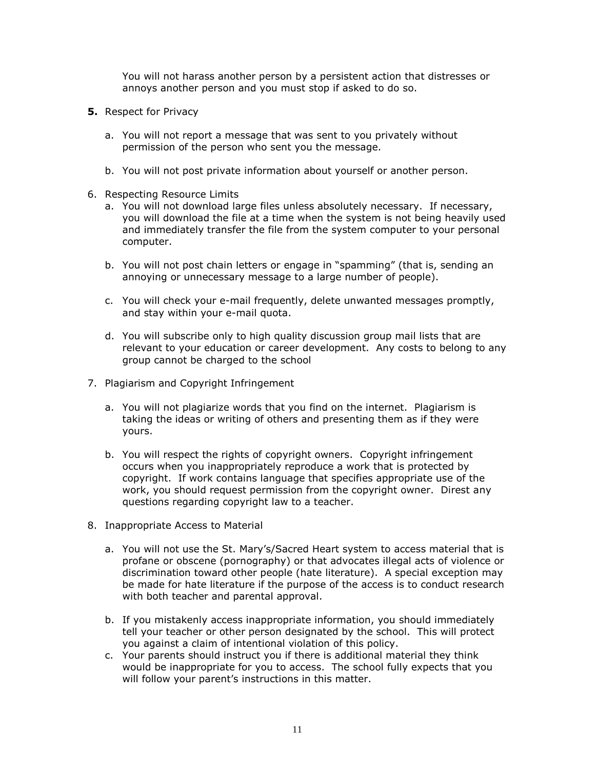You will not harass another person by a persistent action that distresses or annoys another person and you must stop if asked to do so.

- **5.** Respect for Privacy
	- a. You will not report a message that was sent to you privately without permission of the person who sent you the message.
	- b. You will not post private information about yourself or another person.
- 6. Respecting Resource Limits
	- a. You will not download large files unless absolutely necessary. If necessary, you will download the file at a time when the system is not being heavily used and immediately transfer the file from the system computer to your personal computer.
	- b. You will not post chain letters or engage in "spamming" (that is, sending an annoying or unnecessary message to a large number of people).
	- c. You will check your e-mail frequently, delete unwanted messages promptly, and stay within your e-mail quota.
	- d. You will subscribe only to high quality discussion group mail lists that are relevant to your education or career development. Any costs to belong to any group cannot be charged to the school
- 7. Plagiarism and Copyright Infringement
	- a. You will not plagiarize words that you find on the internet. Plagiarism is taking the ideas or writing of others and presenting them as if they were yours.
	- b. You will respect the rights of copyright owners. Copyright infringement occurs when you inappropriately reproduce a work that is protected by copyright. If work contains language that specifies appropriate use of the work, you should request permission from the copyright owner. Direst any questions regarding copyright law to a teacher.
- 8. Inappropriate Access to Material
	- a. You will not use the St. Mary's/Sacred Heart system to access material that is profane or obscene (pornography) or that advocates illegal acts of violence or discrimination toward other people (hate literature). A special exception may be made for hate literature if the purpose of the access is to conduct research with both teacher and parental approval.
	- b. If you mistakenly access inappropriate information, you should immediately tell your teacher or other person designated by the school. This will protect you against a claim of intentional violation of this policy.
	- c. Your parents should instruct you if there is additional material they think would be inappropriate for you to access. The school fully expects that you will follow your parent's instructions in this matter.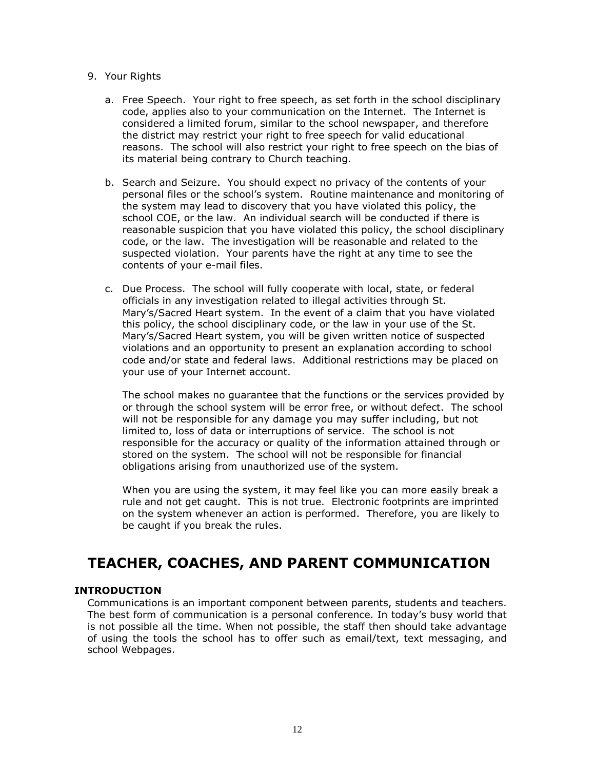#### 9. Your Rights

- a. Free Speech. Your right to free speech, as set forth in the school disciplinary code, applies also to your communication on the Internet. The Internet is considered a limited forum, similar to the school newspaper, and therefore the district may restrict your right to free speech for valid educational reasons. The school will also restrict your right to free speech on the bias of its material being contrary to Church teaching.
- b. Search and Seizure. You should expect no privacy of the contents of your personal files or the school's system. Routine maintenance and monitoring of the system may lead to discovery that you have violated this policy, the school COE, or the law. An individual search will be conducted if there is reasonable suspicion that you have violated this policy, the school disciplinary code, or the law. The investigation will be reasonable and related to the suspected violation. Your parents have the right at any time to see the contents of your e-mail files.
- c. Due Process. The school will fully cooperate with local, state, or federal officials in any investigation related to illegal activities through St. Mary's/Sacred Heart system. In the event of a claim that you have violated this policy, the school disciplinary code, or the law in your use of the St. Mary's/Sacred Heart system, you will be given written notice of suspected violations and an opportunity to present an explanation according to school code and/or state and federal laws. Additional restrictions may be placed on your use of your Internet account.

The school makes no guarantee that the functions or the services provided by or through the school system will be error free, or without defect. The school will not be responsible for any damage you may suffer including, but not limited to, loss of data or interruptions of service. The school is not responsible for the accuracy or quality of the information attained through or stored on the system. The school will not be responsible for financial obligations arising from unauthorized use of the system.

When you are using the system, it may feel like you can more easily break a rule and not get caught. This is not true. Electronic footprints are imprinted on the system whenever an action is performed. Therefore, you are likely to be caught if you break the rules.

## <span id="page-11-0"></span>**TEACHER, COACHES, AND PARENT COMMUNICATION**

#### **INTRODUCTION**

Communications is an important component between parents, students and teachers. The best form of communication is a personal conference. In today's busy world that is not possible all the time. When not possible, the staff then should take advantage of using the tools the school has to offer such as email/text, text messaging, and school Webpages.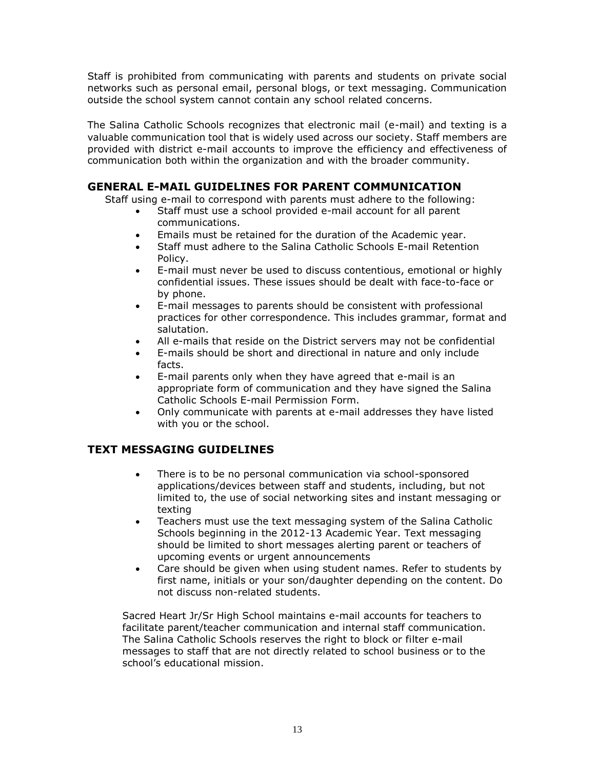Staff is prohibited from communicating with parents and students on private social networks such as personal email, personal blogs, or text messaging. Communication outside the school system cannot contain any school related concerns.

The Salina Catholic Schools recognizes that electronic mail (e-mail) and texting is a valuable communication tool that is widely used across our society. Staff members are provided with district e-mail accounts to improve the efficiency and effectiveness of communication both within the organization and with the broader community.

#### **GENERAL E-MAIL GUIDELINES FOR PARENT COMMUNICATION**

Staff using e-mail to correspond with parents must adhere to the following:

- Staff must use a school provided e-mail account for all parent communications.
- Emails must be retained for the duration of the Academic year.
- Staff must adhere to the Salina Catholic Schools E-mail Retention Policy.
- E-mail must never be used to discuss contentious, emotional or highly confidential issues. These issues should be dealt with face-to-face or by phone.
- E-mail messages to parents should be consistent with professional practices for other correspondence. This includes grammar, format and salutation.
- All e-mails that reside on the District servers may not be confidential
- E-mails should be short and directional in nature and only include facts.
- E-mail parents only when they have agreed that e-mail is an appropriate form of communication and they have signed the Salina Catholic Schools E-mail Permission Form.
- Only communicate with parents at e-mail addresses they have listed with you or the school.

#### **TEXT MESSAGING GUIDELINES**

- There is to be no personal communication via school-sponsored applications/devices between staff and students, including, but not limited to, the use of social networking sites and instant messaging or texting
- Teachers must use the text messaging system of the Salina Catholic Schools beginning in the 2012-13 Academic Year. Text messaging should be limited to short messages alerting parent or teachers of upcoming events or urgent announcements
- Care should be given when using student names. Refer to students by first name, initials or your son/daughter depending on the content. Do not discuss non-related students.

Sacred Heart Jr/Sr High School maintains e-mail accounts for teachers to facilitate parent/teacher communication and internal staff communication. The Salina Catholic Schools reserves the right to block or filter e-mail messages to staff that are not directly related to school business or to the school's educational mission.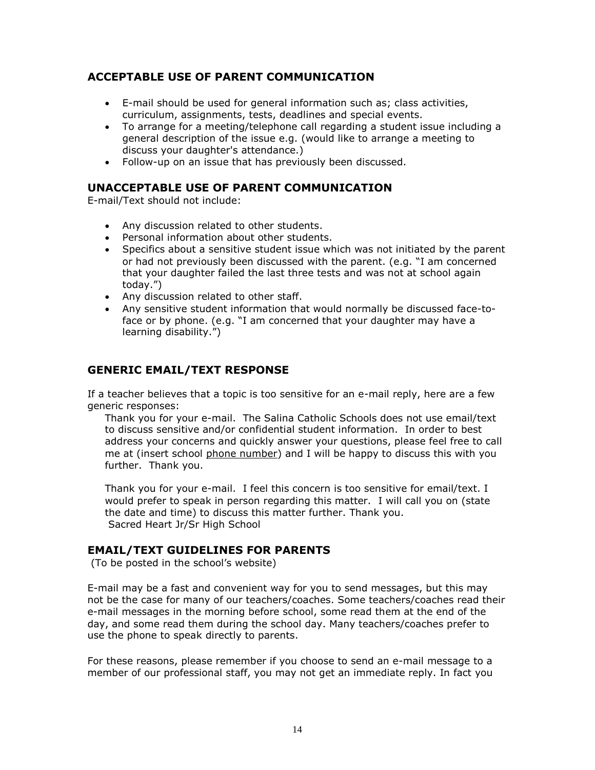#### **ACCEPTABLE USE OF PARENT COMMUNICATION**

- E-mail should be used for general information such as; class activities, curriculum, assignments, tests, deadlines and special events.
- To arrange for a meeting/telephone call regarding a student issue including a general description of the issue e.g. (would like to arrange a meeting to discuss your daughter's attendance.)
- Follow-up on an issue that has previously been discussed.

#### **UNACCEPTABLE USE OF PARENT COMMUNICATION**

E-mail/Text should not include:

- Any discussion related to other students.
- Personal information about other students.
- Specifics about a sensitive student issue which was not initiated by the parent or had not previously been discussed with the parent. (e.g. "I am concerned that your daughter failed the last three tests and was not at school again today.")
- Any discussion related to other staff.
- Any sensitive student information that would normally be discussed face-toface or by phone. (e.g. "I am concerned that your daughter may have a learning disability.")

#### **GENERIC EMAIL/TEXT RESPONSE**

If a teacher believes that a topic is too sensitive for an e-mail reply, here are a few generic responses:

Thank you for your e-mail. The Salina Catholic Schools does not use email/text to discuss sensitive and/or confidential student information. In order to best address your concerns and quickly answer your questions, please feel free to call me at (insert school phone number) and I will be happy to discuss this with you further. Thank you.

Thank you for your e-mail. I feel this concern is too sensitive for email/text. I would prefer to speak in person regarding this matter. I will call you on (state the date and time) to discuss this matter further. Thank you. Sacred Heart Jr/Sr High School

#### **EMAIL/TEXT GUIDELINES FOR PARENTS**

(To be posted in the school's website)

E-mail may be a fast and convenient way for you to send messages, but this may not be the case for many of our teachers/coaches. Some teachers/coaches read their e-mail messages in the morning before school, some read them at the end of the day, and some read them during the school day. Many teachers/coaches prefer to use the phone to speak directly to parents.

For these reasons, please remember if you choose to send an e-mail message to a member of our professional staff, you may not get an immediate reply. In fact you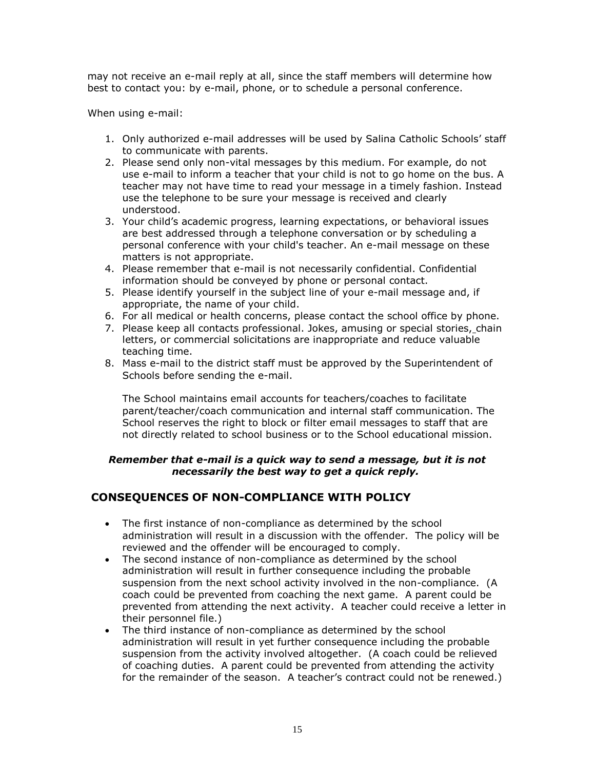may not receive an e-mail reply at all, since the staff members will determine how best to contact you: by e-mail, phone, or to schedule a personal conference.

When using e-mail:

- 1. Only authorized e-mail addresses will be used by Salina Catholic Schools' staff to communicate with parents.
- 2. Please send only non-vital messages by this medium. For example, do not use e-mail to inform a teacher that your child is not to go home on the bus. A teacher may not have time to read your message in a timely fashion. Instead use the telephone to be sure your message is received and clearly understood.
- 3. Your child's academic progress, learning expectations, or behavioral issues are best addressed through a telephone conversation or by scheduling a personal conference with your child's teacher. An e-mail message on these matters is not appropriate.
- 4. Please remember that e-mail is not necessarily confidential. Confidential information should be conveyed by phone or personal contact.
- 5. Please identify yourself in the subject line of your e-mail message and, if appropriate, the name of your child.
- 6. For all medical or health concerns, please contact the school office by phone.
- 7. Please keep all contacts professional. Jokes, amusing or special stories, chain letters, or commercial solicitations are inappropriate and reduce valuable teaching time.
- 8. Mass e-mail to the district staff must be approved by the Superintendent of Schools before sending the e-mail.

The School maintains email accounts for teachers/coaches to facilitate parent/teacher/coach communication and internal staff communication. The School reserves the right to block or filter email messages to staff that are not directly related to school business or to the School educational mission.

#### *Remember that e-mail is a quick way to send a message, but it is not necessarily the best way to get a quick reply.*

#### **CONSEQUENCES OF NON-COMPLIANCE WITH POLICY**

- The first instance of non-compliance as determined by the school administration will result in a discussion with the offender. The policy will be reviewed and the offender will be encouraged to comply.
- The second instance of non-compliance as determined by the school administration will result in further consequence including the probable suspension from the next school activity involved in the non-compliance. (A coach could be prevented from coaching the next game. A parent could be prevented from attending the next activity. A teacher could receive a letter in their personnel file.)
- The third instance of non-compliance as determined by the school administration will result in yet further consequence including the probable suspension from the activity involved altogether. (A coach could be relieved of coaching duties. A parent could be prevented from attending the activity for the remainder of the season. A teacher's contract could not be renewed.)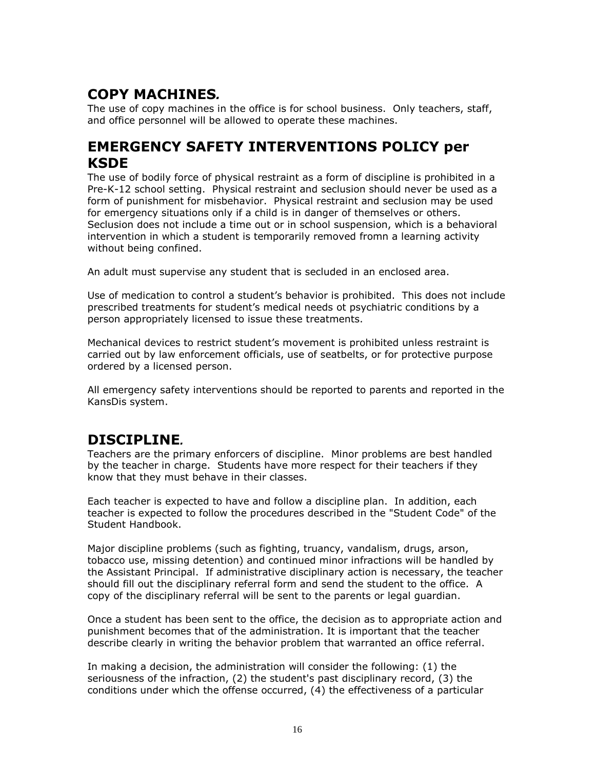# <span id="page-15-0"></span>**COPY MACHINES***.*

The use of copy machines in the office is for school business. Only teachers, staff, and office personnel will be allowed to operate these machines.

## <span id="page-15-1"></span>**EMERGENCY SAFETY INTERVENTIONS POLICY per KSDE**

The use of bodily force of physical restraint as a form of discipline is prohibited in a Pre-K-12 school setting. Physical restraint and seclusion should never be used as a form of punishment for misbehavior. Physical restraint and seclusion may be used for emergency situations only if a child is in danger of themselves or others. Seclusion does not include a time out or in school suspension, which is a behavioral intervention in which a student is temporarily removed fromn a learning activity without being confined.

An adult must supervise any student that is secluded in an enclosed area.

Use of medication to control a student's behavior is prohibited. This does not include prescribed treatments for student's medical needs ot psychiatric conditions by a person appropriately licensed to issue these treatments.

Mechanical devices to restrict student's movement is prohibited unless restraint is carried out by law enforcement officials, use of seatbelts, or for protective purpose ordered by a licensed person.

All emergency safety interventions should be reported to parents and reported in the KansDis system.

## <span id="page-15-2"></span>**DISCIPLINE***.*

Teachers are the primary enforcers of discipline.Minor problems are best handled by the teacher in charge. Students have more respect for their teachers if they know that they must behave in their classes.

Each teacher is expected to have and follow a discipline plan. In addition, each teacher is expected to follow the procedures described in the "Student Code" of the Student Handbook.

Major discipline problems (such as fighting, truancy, vandalism, drugs, arson, tobacco use, missing detention) and continued minor infractions will be handled by the Assistant Principal. If administrative disciplinary action is necessary, the teacher should fill out the disciplinary referral form and send the student to the office. A copy of the disciplinary referral will be sent to the parents or legal guardian.

Once a student has been sent to the office, the decision as to appropriate action and punishment becomes that of the administration. It is important that the teacher describe clearly in writing the behavior problem that warranted an office referral.

In making a decision, the administration will consider the following: (1) the seriousness of the infraction, (2) the student's past disciplinary record, (3) the conditions under which the offense occurred, (4) the effectiveness of a particular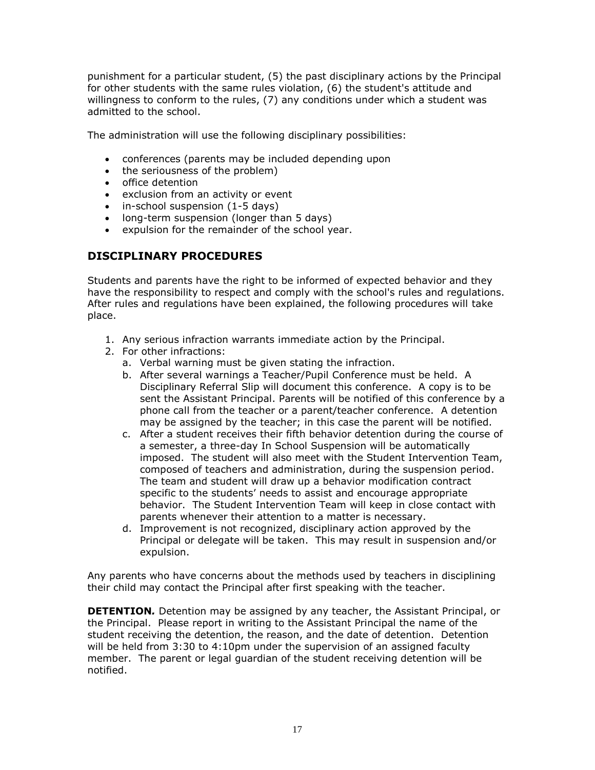punishment for a particular student, (5) the past disciplinary actions by the Principal for other students with the same rules violation, (6) the student's attitude and willingness to conform to the rules, (7) any conditions under which a student was admitted to the school.

The administration will use the following disciplinary possibilities:

- conferences (parents may be included depending upon
- the seriousness of the problem)
- office detention
- exclusion from an activity or event
- in-school suspension (1-5 days)
- long-term suspension (longer than 5 days)
- expulsion for the remainder of the school year.

#### **DISCIPLINARY PROCEDURES**

Students and parents have the right to be informed of expected behavior and they have the responsibility to respect and comply with the school's rules and regulations. After rules and regulations have been explained, the following procedures will take place.

- 1. Any serious infraction warrants immediate action by the Principal.
- 2. For other infractions:
	- a. Verbal warning must be given stating the infraction.
	- b. After several warnings a Teacher/Pupil Conference must be held. A Disciplinary Referral Slip will document this conference. A copy is to be sent the Assistant Principal. Parents will be notified of this conference by a phone call from the teacher or a parent/teacher conference. A detention may be assigned by the teacher; in this case the parent will be notified.
	- c. After a student receives their fifth behavior detention during the course of a semester, a three-day In School Suspension will be automatically imposed. The student will also meet with the Student Intervention Team, composed of teachers and administration, during the suspension period. The team and student will draw up a behavior modification contract specific to the students' needs to assist and encourage appropriate behavior. The Student Intervention Team will keep in close contact with parents whenever their attention to a matter is necessary.
	- d. Improvement is not recognized, disciplinary action approved by the Principal or delegate will be taken. This may result in suspension and/or expulsion.

Any parents who have concerns about the methods used by teachers in disciplining their child may contact the Principal after first speaking with the teacher.

**DETENTION***.* Detention may be assigned by any teacher, the Assistant Principal, or the Principal. Please report in writing to the Assistant Principal the name of the student receiving the detention, the reason, and the date of detention. Detention will be held from 3:30 to 4:10pm under the supervision of an assigned faculty member. The parent or legal guardian of the student receiving detention will be notified.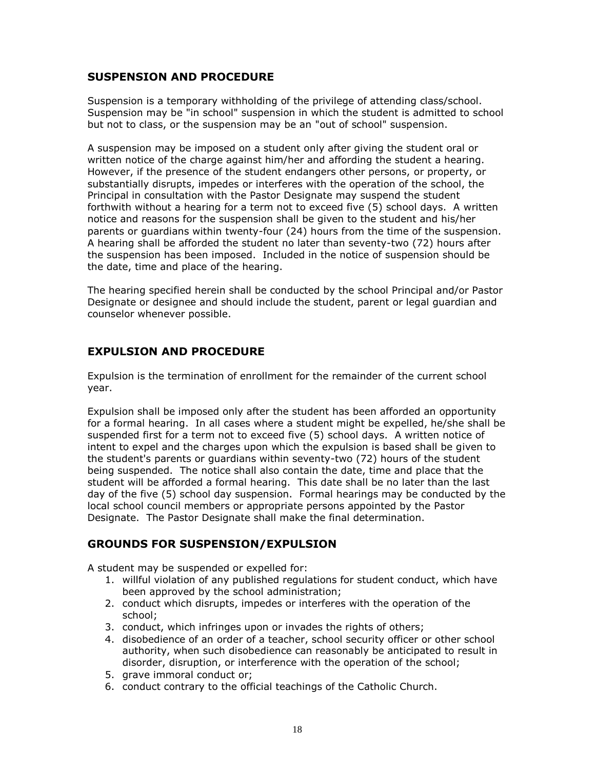#### **SUSPENSION AND PROCEDURE**

Suspension is a temporary withholding of the privilege of attending class/school. Suspension may be "in school" suspension in which the student is admitted to school but not to class, or the suspension may be an "out of school" suspension.

A suspension may be imposed on a student only after giving the student oral or written notice of the charge against him/her and affording the student a hearing. However, if the presence of the student endangers other persons, or property, or substantially disrupts, impedes or interferes with the operation of the school, the Principal in consultation with the Pastor Designate may suspend the student forthwith without a hearing for a term not to exceed five (5) school days. A written notice and reasons for the suspension shall be given to the student and his/her parents or guardians within twenty-four (24) hours from the time of the suspension. A hearing shall be afforded the student no later than seventy-two (72) hours after the suspension has been imposed. Included in the notice of suspension should be the date, time and place of the hearing.

The hearing specified herein shall be conducted by the school Principal and/or Pastor Designate or designee and should include the student, parent or legal guardian and counselor whenever possible.

#### **EXPULSION AND PROCEDURE**

Expulsion is the termination of enrollment for the remainder of the current school year.

Expulsion shall be imposed only after the student has been afforded an opportunity for a formal hearing. In all cases where a student might be expelled, he/she shall be suspended first for a term not to exceed five (5) school days. A written notice of intent to expel and the charges upon which the expulsion is based shall be given to the student's parents or guardians within seventy-two (72) hours of the student being suspended. The notice shall also contain the date, time and place that the student will be afforded a formal hearing. This date shall be no later than the last day of the five (5) school day suspension. Formal hearings may be conducted by the local school council members or appropriate persons appointed by the Pastor Designate. The Pastor Designate shall make the final determination.

#### **GROUNDS FOR SUSPENSION/EXPULSION**

A student may be suspended or expelled for:

- 1. willful violation of any published regulations for student conduct, which have been approved by the school administration;
- 2. conduct which disrupts, impedes or interferes with the operation of the school;
- 3. conduct, which infringes upon or invades the rights of others;
- 4. disobedience of an order of a teacher, school security officer or other school authority, when such disobedience can reasonably be anticipated to result in disorder, disruption, or interference with the operation of the school;
- 5. grave immoral conduct or;
- 6. conduct contrary to the official teachings of the Catholic Church.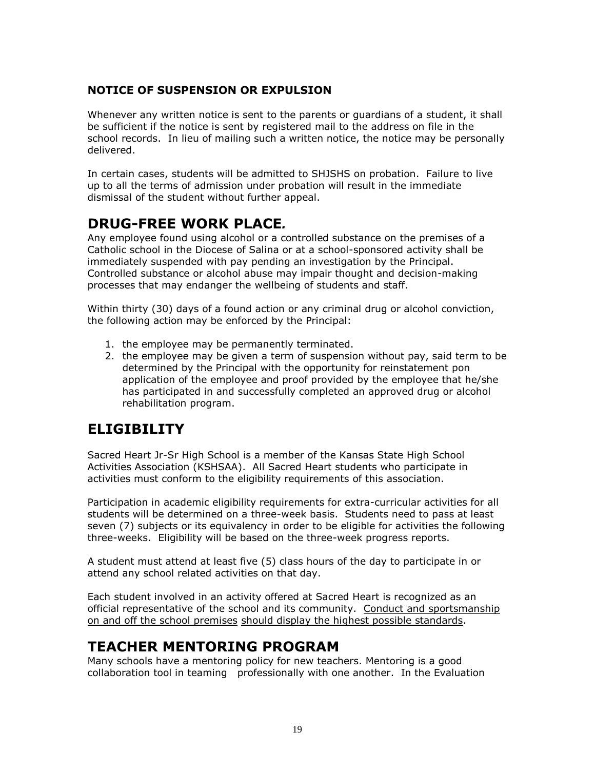#### **NOTICE OF SUSPENSION OR EXPULSION**

Whenever any written notice is sent to the parents or guardians of a student, it shall be sufficient if the notice is sent by registered mail to the address on file in the school records. In lieu of mailing such a written notice, the notice may be personally delivered.

In certain cases, students will be admitted to SHJSHS on probation. Failure to live up to all the terms of admission under probation will result in the immediate dismissal of the student without further appeal.

# <span id="page-18-0"></span>**DRUG-FREE WORK PLACE***.*

Any employee found using alcohol or a controlled substance on the premises of a Catholic school in the Diocese of Salina or at a school-sponsored activity shall be immediately suspended with pay pending an investigation by the Principal. Controlled substance or alcohol abuse may impair thought and decision-making processes that may endanger the wellbeing of students and staff.

Within thirty (30) days of a found action or any criminal drug or alcohol conviction, the following action may be enforced by the Principal:

- 1. the employee may be permanently terminated.
- 2. the employee may be given a term of suspension without pay, said term to be determined by the Principal with the opportunity for reinstatement pon application of the employee and proof provided by the employee that he/she has participated in and successfully completed an approved drug or alcohol rehabilitation program.

## <span id="page-18-1"></span>**ELIGIBILITY**

Sacred Heart Jr-Sr High School is a member of the Kansas State High School Activities Association (KSHSAA). All Sacred Heart students who participate in activities must conform to the eligibility requirements of this association.

Participation in academic eligibility requirements for extra-curricular activities for all students will be determined on a three-week basis. Students need to pass at least seven (7) subjects or its equivalency in order to be eligible for activities the following three-weeks. Eligibility will be based on the three-week progress reports.

A student must attend at least five (5) class hours of the day to participate in or attend any school related activities on that day.

Each student involved in an activity offered at Sacred Heart is recognized as an official representative of the school and its community. Conduct and sportsmanship on and off the school premises should display the highest possible standards.

## <span id="page-18-2"></span>**TEACHER MENTORING PROGRAM**

Many schools have a mentoring policy for new teachers. Mentoring is a good collaboration tool in teaming professionally with one another. In the Evaluation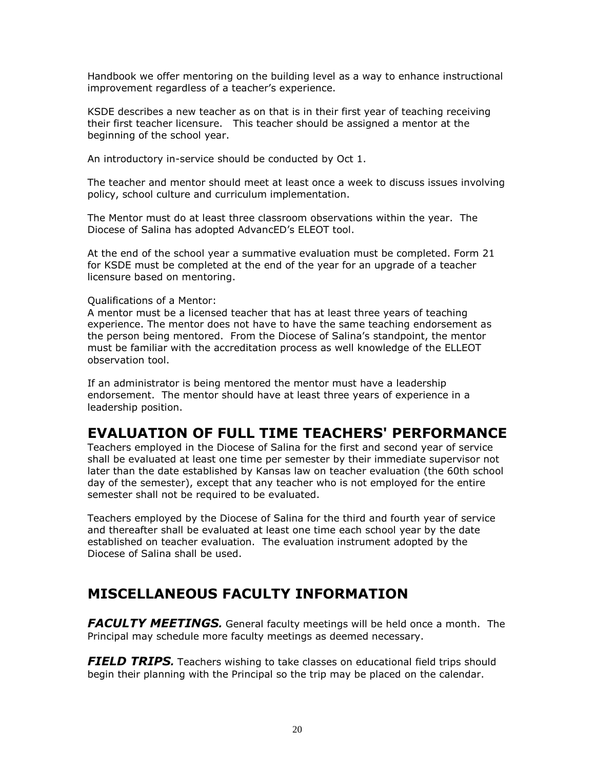Handbook we offer mentoring on the building level as a way to enhance instructional improvement regardless of a teacher's experience.

KSDE describes a new teacher as on that is in their first year of teaching receiving their first teacher licensure. This teacher should be assigned a mentor at the beginning of the school year.

An introductory in-service should be conducted by Oct 1.

The teacher and mentor should meet at least once a week to discuss issues involving policy, school culture and curriculum implementation.

The Mentor must do at least three classroom observations within the year. The Diocese of Salina has adopted AdvancED's ELEOT tool.

At the end of the school year a summative evaluation must be completed. Form 21 for KSDE must be completed at the end of the year for an upgrade of a teacher licensure based on mentoring.

#### Qualifications of a Mentor:

A mentor must be a licensed teacher that has at least three years of teaching experience. The mentor does not have to have the same teaching endorsement as the person being mentored. From the Diocese of Salina's standpoint, the mentor must be familiar with the accreditation process as well knowledge of the ELLEOT observation tool.

If an administrator is being mentored the mentor must have a leadership endorsement. The mentor should have at least three years of experience in a leadership position.

#### <span id="page-19-0"></span>**EVALUATION OF FULL TIME TEACHERS' PERFORMANCE**

Teachers employed in the Diocese of Salina for the first and second year of service shall be evaluated at least one time per semester by their immediate supervisor not later than the date established by Kansas law on teacher evaluation (the 60th school day of the semester), except that any teacher who is not employed for the entire semester shall not be required to be evaluated.

Teachers employed by the Diocese of Salina for the third and fourth year of service and thereafter shall be evaluated at least one time each school year by the date established on teacher evaluation. The evaluation instrument adopted by the Diocese of Salina shall be used.

## <span id="page-19-1"></span>**MISCELLANEOUS FACULTY INFORMATION**

<span id="page-19-2"></span>*FACULTY MEETINGS.* General faculty meetings will be held once a month. The Principal may schedule more faculty meetings as deemed necessary.

<span id="page-19-3"></span>*FIELD TRIPS.* Teachers wishing to take classes on educational field trips should begin their planning with the Principal so the trip may be placed on the calendar.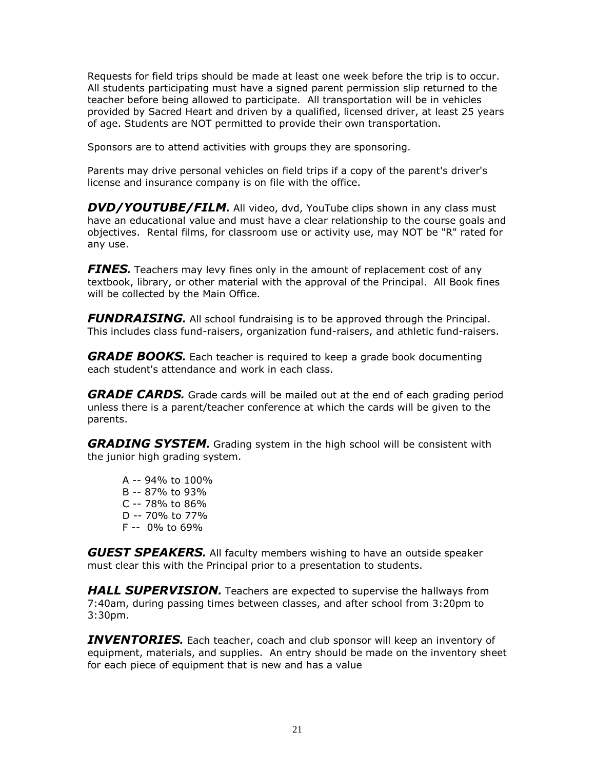Requests for field trips should be made at least one week before the trip is to occur. All students participating must have a signed parent permission slip returned to the teacher before being allowed to participate. All transportation will be in vehicles provided by Sacred Heart and driven by a qualified, licensed driver, at least 25 years of age. Students are NOT permitted to provide their own transportation.

Sponsors are to attend activities with groups they are sponsoring.

Parents may drive personal vehicles on field trips if a copy of the parent's driver's license and insurance company is on file with the office.

<span id="page-20-0"></span>*DVD/YOUTUBE/FILM.* All video, dvd, YouTube clips shown in any class must have an educational value and must have a clear relationship to the course goals and objectives. Rental films, for classroom use or activity use, may NOT be "R" rated for any use.

<span id="page-20-1"></span>*FINES.* Teachers may levy fines only in the amount of replacement cost of any textbook, library, or other material with the approval of the Principal. All Book fines will be collected by the Main Office.

<span id="page-20-2"></span>*FUNDRAISING.* All school fundraising is to be approved through the Principal. This includes class fund-raisers, organization fund-raisers, and athletic fund-raisers.

<span id="page-20-3"></span>*GRADE BOOKS.* Each teacher is required to keep a grade book documenting each student's attendance and work in each class.

<span id="page-20-4"></span>*GRADE CARDS.* Grade cards will be mailed out at the end of each grading period unless there is a parent/teacher conference at which the cards will be given to the parents.

<span id="page-20-5"></span>*GRADING SYSTEM.* Grading system in the high school will be consistent with the junior high grading system.

A -- 94% to 100% B -- 87% to 93% C -- 78% to 86% D -- 70% to 77% F -- 0% to 69%

<span id="page-20-6"></span>*GUEST SPEAKERS.* All faculty members wishing to have an outside speaker must clear this with the Principal prior to a presentation to students.

<span id="page-20-7"></span>*HALL SUPERVISION.* Teachers are expected to supervise the hallways from 7:40am, during passing times between classes, and after school from 3:20pm to 3:30pm.

<span id="page-20-8"></span>*INVENTORIES.* Each teacher, coach and club sponsor will keep an inventory of equipment, materials, and supplies. An entry should be made on the inventory sheet for each piece of equipment that is new and has a value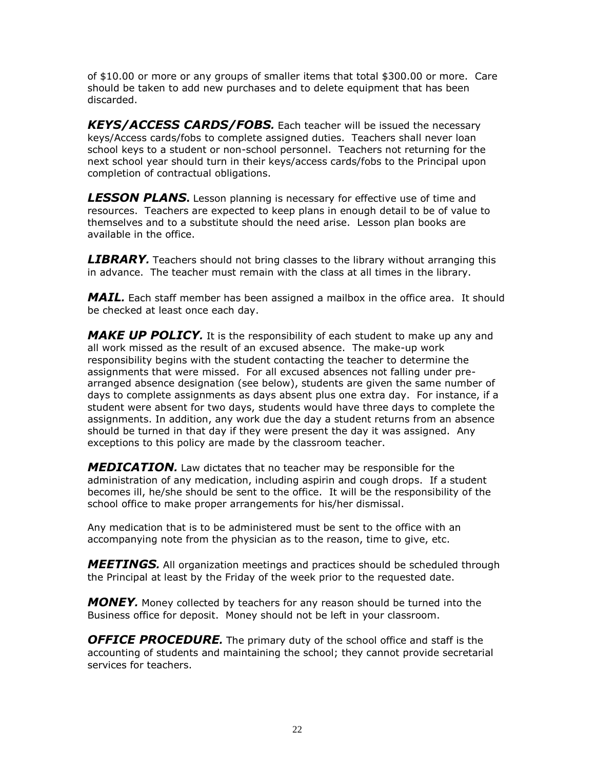of \$10.00 or more or any groups of smaller items that total \$300.00 or more. Care should be taken to add new purchases and to delete equipment that has been discarded.

<span id="page-21-0"></span>*KEYS/ACCESS CARDS/FOBS.* Each teacher will be issued the necessary keys/Access cards/fobs to complete assigned duties. Teachers shall never loan school keys to a student or non-school personnel. Teachers not returning for the next school year should turn in their keys/access cards/fobs to the Principal upon completion of contractual obligations.

<span id="page-21-1"></span>*LESSON PLANS***.** Lesson planning is necessary for effective use of time and resources. Teachers are expected to keep plans in enough detail to be of value to themselves and to a substitute should the need arise. Lesson plan books are available in the office.

<span id="page-21-2"></span>*LIBRARY.* Teachers should not bring classes to the library without arranging this in advance. The teacher must remain with the class at all times in the library.

<span id="page-21-3"></span>*MAIL.* Each staff member has been assigned a mailbox in the office area. It should be checked at least once each day.

<span id="page-21-4"></span>*MAKE UP POLICY.* It is the responsibility of each student to make up any and all work missed as the result of an excused absence. The make-up work responsibility begins with the student contacting the teacher to determine the assignments that were missed. For all excused absences not falling under prearranged absence designation (see below), students are given the same number of days to complete assignments as days absent plus one extra day. For instance, if a student were absent for two days, students would have three days to complete the assignments. In addition, any work due the day a student returns from an absence should be turned in that day if they were present the day it was assigned. Any exceptions to this policy are made by the classroom teacher.

<span id="page-21-5"></span>*MEDICATION.* Law dictates that no teacher may be responsible for the administration of any medication, including aspirin and cough drops. If a student becomes ill, he/she should be sent to the office. It will be the responsibility of the school office to make proper arrangements for his/her dismissal.

Any medication that is to be administered must be sent to the office with an accompanying note from the physician as to the reason, time to give, etc.

<span id="page-21-6"></span>*MEETINGS.* All organization meetings and practices should be scheduled through the Principal at least by the Friday of the week prior to the requested date.

<span id="page-21-7"></span>*MONEY.* Money collected by teachers for any reason should be turned into the Business office for deposit. Money should not be left in your classroom.

<span id="page-21-8"></span>**OFFICE PROCEDURE**. The primary duty of the school office and staff is the accounting of students and maintaining the school; they cannot provide secretarial services for teachers.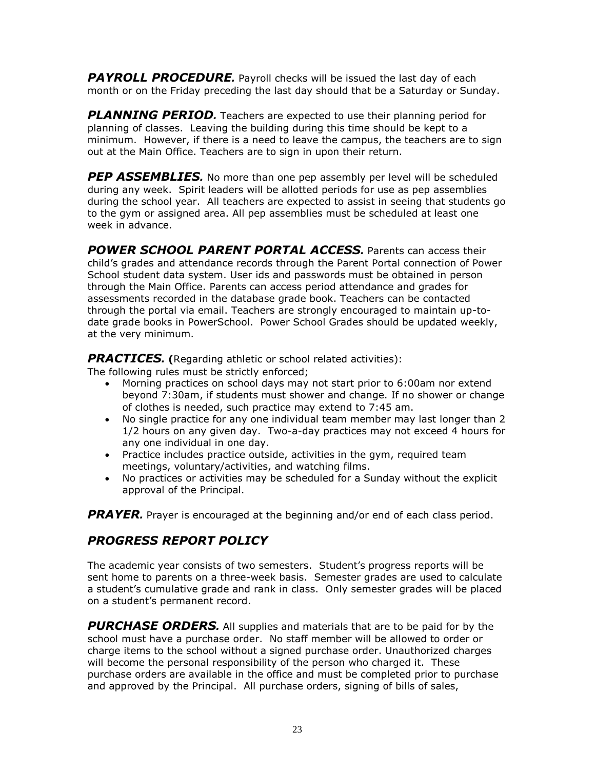<span id="page-22-0"></span>*PAYROLL PROCEDURE.* Payroll checks will be issued the last day of each month or on the Friday preceding the last day should that be a Saturday or Sunday.

<span id="page-22-1"></span>**PLANNING PERIOD.** Teachers are expected to use their planning period for planning of classes. Leaving the building during this time should be kept to a minimum. However, if there is a need to leave the campus, the teachers are to sign out at the Main Office. Teachers are to sign in upon their return.

<span id="page-22-2"></span>**PEP ASSEMBLIES**. No more than one pep assembly per level will be scheduled during any week. Spirit leaders will be allotted periods for use as pep assemblies during the school year. All teachers are expected to assist in seeing that students go to the gym or assigned area. All pep assemblies must be scheduled at least one week in advance.

<span id="page-22-3"></span>*POWER SCHOOL PARENT PORTAL ACCESS.* Parents can access their child's grades and attendance records through the Parent Portal connection of Power School student data system. User ids and passwords must be obtained in person through the Main Office. Parents can access period attendance and grades for assessments recorded in the database grade book. Teachers can be contacted through the portal via email. Teachers are strongly encouraged to maintain up-todate grade books in PowerSchool. Power School Grades should be updated weekly, at the very minimum.

<span id="page-22-4"></span>*PRACTICES.* **(**Regarding athletic or school related activities):

The following rules must be strictly enforced;

- Morning practices on school days may not start prior to 6:00am nor extend beyond 7:30am, if students must shower and change. If no shower or change of clothes is needed, such practice may extend to 7:45 am.
- No single practice for any one individual team member may last longer than 2 1/2 hours on any given day. Two-a-day practices may not exceed 4 hours for any one individual in one day.
- Practice includes practice outside, activities in the gym, required team meetings, voluntary/activities, and watching films.
- No practices or activities may be scheduled for a Sunday without the explicit approval of the Principal.

<span id="page-22-5"></span>*PRAYER.* Prayer is encouraged at the beginning and/or end of each class period.

#### <span id="page-22-6"></span>*PROGRESS REPORT POLICY*

The academic year consists of two semesters. Student's progress reports will be sent home to parents on a three-week basis. Semester grades are used to calculate a student's cumulative grade and rank in class. Only semester grades will be placed on a student's permanent record.

<span id="page-22-7"></span>*PURCHASE ORDERS.* All supplies and materials that are to be paid for by the school must have a purchase order. No staff member will be allowed to order or charge items to the school without a signed purchase order. Unauthorized charges will become the personal responsibility of the person who charged it. These purchase orders are available in the office and must be completed prior to purchase and approved by the Principal. All purchase orders, signing of bills of sales,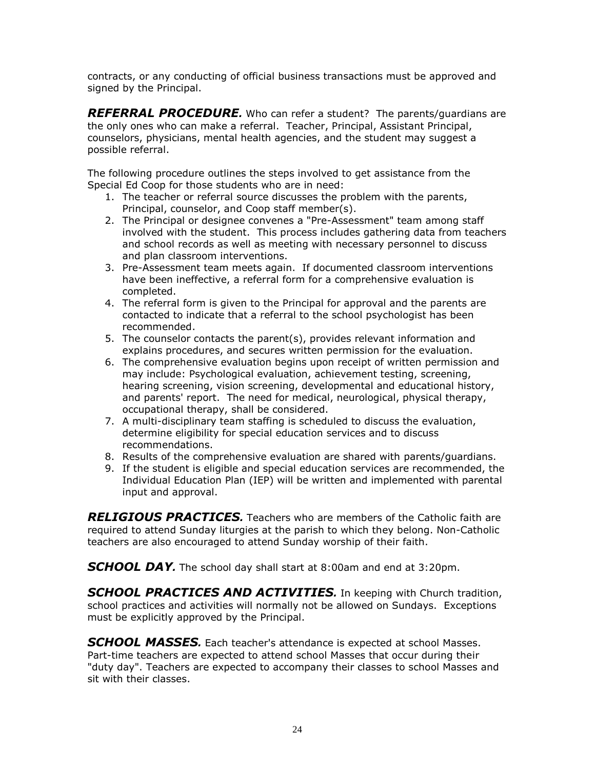contracts, or any conducting of official business transactions must be approved and signed by the Principal.

<span id="page-23-0"></span>*REFERRAL PROCEDURE.* Who can refer a student? The parents/guardians are the only ones who can make a referral. Teacher, Principal, Assistant Principal, counselors, physicians, mental health agencies, and the student may suggest a possible referral.

The following procedure outlines the steps involved to get assistance from the Special Ed Coop for those students who are in need:

- 1. The teacher or referral source discusses the problem with the parents, Principal, counselor, and Coop staff member(s).
- 2. The Principal or designee convenes a "Pre-Assessment" team among staff involved with the student. This process includes gathering data from teachers and school records as well as meeting with necessary personnel to discuss and plan classroom interventions.
- 3. Pre-Assessment team meets again. If documented classroom interventions have been ineffective, a referral form for a comprehensive evaluation is completed.
- 4. The referral form is given to the Principal for approval and the parents are contacted to indicate that a referral to the school psychologist has been recommended.
- 5. The counselor contacts the parent(s), provides relevant information and explains procedures, and secures written permission for the evaluation.
- 6. The comprehensive evaluation begins upon receipt of written permission and may include: Psychological evaluation, achievement testing, screening, hearing screening, vision screening, developmental and educational history, and parents' report. The need for medical, neurological, physical therapy, occupational therapy, shall be considered.
- 7. A multi-disciplinary team staffing is scheduled to discuss the evaluation, determine eligibility for special education services and to discuss recommendations.
- 8. Results of the comprehensive evaluation are shared with parents/guardians.
- 9. If the student is eligible and special education services are recommended, the Individual Education Plan (IEP) will be written and implemented with parental input and approval.

<span id="page-23-1"></span>*RELIGIOUS PRACTICES.* Teachers who are members of the Catholic faith are required to attend Sunday liturgies at the parish to which they belong. Non-Catholic teachers are also encouraged to attend Sunday worship of their faith.

<span id="page-23-2"></span>*SCHOOL DAY.* The school day shall start at 8:00am and end at 3:20pm.

<span id="page-23-3"></span>*SCHOOL PRACTICES AND ACTIVITIES.* In keeping with Church tradition, school practices and activities will normally not be allowed on Sundays. Exceptions must be explicitly approved by the Principal.

<span id="page-23-4"></span>*SCHOOL MASSES.* Each teacher's attendance is expected at school Masses. Part-time teachers are expected to attend school Masses that occur during their "duty day". Teachers are expected to accompany their classes to school Masses and sit with their classes.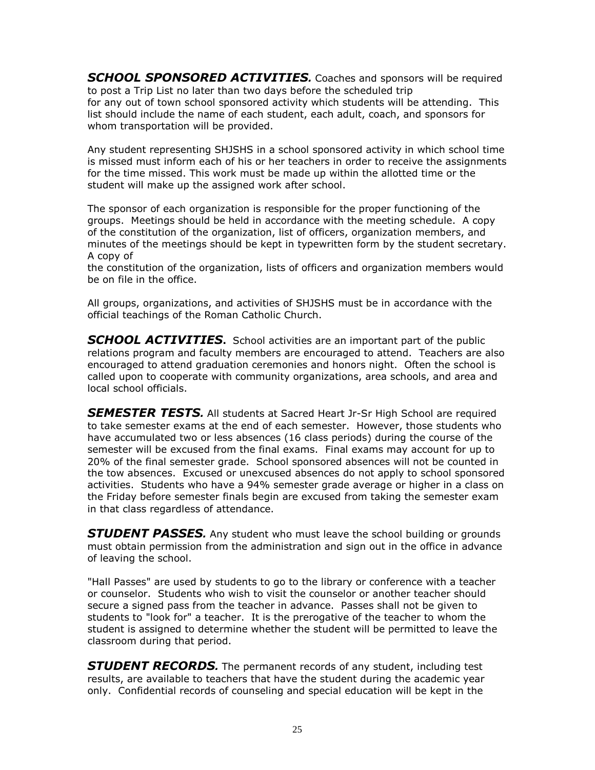<span id="page-24-0"></span>*SCHOOL SPONSORED ACTIVITIES.* Coaches and sponsors will be required to post a Trip List no later than two days before the scheduled trip for any out of town school sponsored activity which students will be attending. This list should include the name of each student, each adult, coach, and sponsors for whom transportation will be provided.

Any student representing SHJSHS in a school sponsored activity in which school time is missed must inform each of his or her teachers in order to receive the assignments for the time missed. This work must be made up within the allotted time or the student will make up the assigned work after school.

The sponsor of each organization is responsible for the proper functioning of the groups. Meetings should be held in accordance with the meeting schedule. A copy of the constitution of the organization, list of officers, organization members, and minutes of the meetings should be kept in typewritten form by the student secretary. A copy of

the constitution of the organization, lists of officers and organization members would be on file in the office.

All groups, organizations, and activities of SHJSHS must be in accordance with the official teachings of the Roman Catholic Church.

<span id="page-24-1"></span>*SCHOOL ACTIVITIES***.** School activities are an important part of the public relations program and faculty members are encouraged to attend. Teachers are also encouraged to attend graduation ceremonies and honors night. Often the school is called upon to cooperate with community organizations, area schools, and area and local school officials.

<span id="page-24-2"></span>**SEMESTER TESTS.** All students at Sacred Heart Jr-Sr High School are required to take semester exams at the end of each semester. However, those students who have accumulated two or less absences (16 class periods) during the course of the semester will be excused from the final exams. Final exams may account for up to 20% of the final semester grade. School sponsored absences will not be counted in the tow absences. Excused or unexcused absences do not apply to school sponsored activities. Students who have a 94% semester grade average or higher in a class on the Friday before semester finals begin are excused from taking the semester exam in that class regardless of attendance.

<span id="page-24-3"></span>*STUDENT PASSES.* Any student who must leave the school building or grounds must obtain permission from the administration and sign out in the office in advance of leaving the school.

"Hall Passes" are used by students to go to the library or conference with a teacher or counselor. Students who wish to visit the counselor or another teacher should secure a signed pass from the teacher in advance. Passes shall not be given to students to "look for" a teacher. It is the prerogative of the teacher to whom the student is assigned to determine whether the student will be permitted to leave the classroom during that period.

<span id="page-24-4"></span>*STUDENT RECORDS.* The permanent records of any student, including test results, are available to teachers that have the student during the academic year only. Confidential records of counseling and special education will be kept in the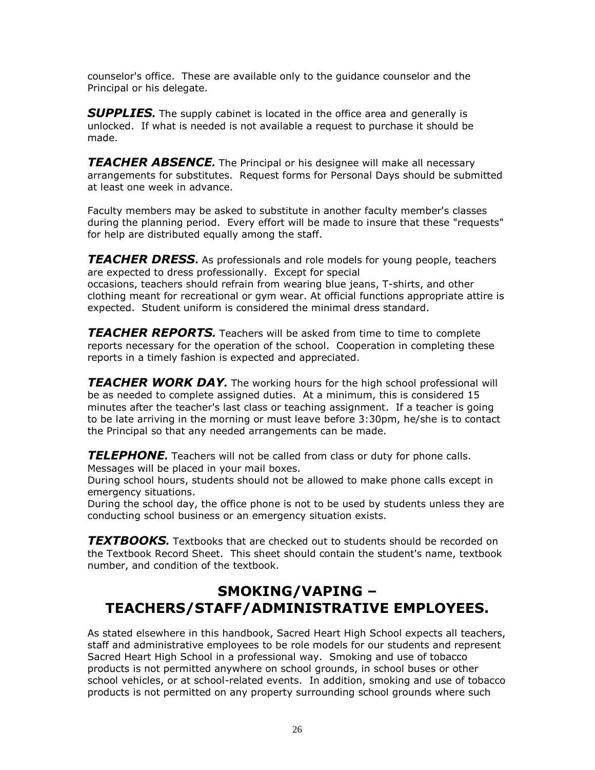counselor's office. These are available only to the guidance counselor and the Principal or his delegate.

<span id="page-25-0"></span>**SUPPLIES.** The supply cabinet is located in the office area and generally is unlocked. If what is needed is not available a request to purchase it should be made.

<span id="page-25-1"></span>*TEACHER ABSENCE.* The Principal or his designee will make all necessary arrangements for substitutes. Request forms for Personal Days should be submitted at least one week in advance.

Faculty members may be asked to substitute in another faculty member's classes during the planning period. Every effort will be made to insure that these "requests" for help are distributed equally among the staff.

<span id="page-25-2"></span>*TEACHER DRESS***.** As professionals and role models for young people, teachers are expected to dress professionally. Except for special occasions, teachers should refrain from wearing blue jeans, T-shirts, and other clothing meant for recreational or gym wear. At official functions appropriate attire is expected. Student uniform is considered the minimal dress standard.

<span id="page-25-3"></span>*TEACHER REPORTS.* Teachers will be asked from time to time to complete reports necessary for the operation of the school. Cooperation in completing these reports in a timely fashion is expected and appreciated.

<span id="page-25-4"></span>*TEACHER WORK DAY.* The working hours for the high school professional will be as needed to complete assigned duties. At a minimum, this is considered 15 minutes after the teacher's last class or teaching assignment. If a teacher is going to be late arriving in the morning or must leave before 3:30pm, he/she is to contact the Principal so that any needed arrangements can be made.

<span id="page-25-5"></span>*TELEPHONE.* Teachers will not be called from class or duty for phone calls. Messages will be placed in your mail boxes.

During school hours, students should not be allowed to make phone calls except in emergency situations.

During the school day, the office phone is not to be used by students unless they are conducting school business or an emergency situation exists.

<span id="page-25-6"></span>*TEXTBOOKS.* Textbooks that are checked out to students should be recorded on the Textbook Record Sheet. This sheet should contain the student's name, textbook number, and condition of the textbook.

## <span id="page-25-7"></span>**SMOKING/VAPING – TEACHERS/STAFF/ADMINISTRATIVE EMPLOYEES.**

As stated elsewhere in this handbook, Sacred Heart High School expects all teachers, staff and administrative employees to be role models for our students and represent Sacred Heart High School in a professional way. Smoking and use of tobacco products is not permitted anywhere on school grounds, in school buses or other school vehicles, or at school-related events. In addition, smoking and use of tobacco products is not permitted on any property surrounding school grounds where such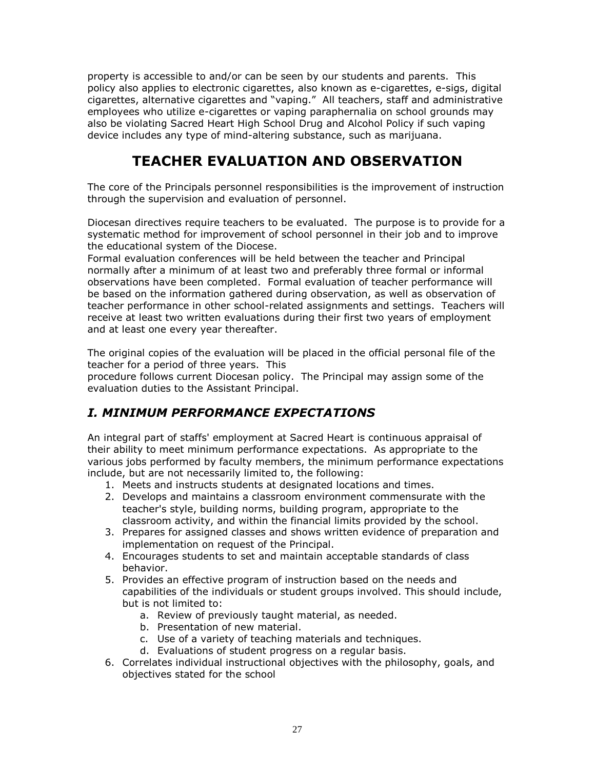property is accessible to and/or can be seen by our students and parents. This policy also applies to electronic cigarettes, also known as e-cigarettes, e-sigs, digital cigarettes, alternative cigarettes and "vaping." All teachers, staff and administrative employees who utilize e-cigarettes or vaping paraphernalia on school grounds may also be violating Sacred Heart High School Drug and Alcohol Policy if such vaping device includes any type of mind-altering substance, such as marijuana.

# **TEACHER EVALUATION AND OBSERVATION**

<span id="page-26-0"></span>The core of the Principals personnel responsibilities is the improvement of instruction through the supervision and evaluation of personnel.

Diocesan directives require teachers to be evaluated. The purpose is to provide for a systematic method for improvement of school personnel in their job and to improve the educational system of the Diocese.

Formal evaluation conferences will be held between the teacher and Principal normally after a minimum of at least two and preferably three formal or informal observations have been completed. Formal evaluation of teacher performance will be based on the information gathered during observation, as well as observation of teacher performance in other school-related assignments and settings. Teachers will receive at least two written evaluations during their first two years of employment and at least one every year thereafter.

The original copies of the evaluation will be placed in the official personal file of the teacher for a period of three years. This

procedure follows current Diocesan policy. The Principal may assign some of the evaluation duties to the Assistant Principal.

## <span id="page-26-1"></span>*I. MINIMUM PERFORMANCE EXPECTATIONS*

An integral part of staffs' employment at Sacred Heart is continuous appraisal of their ability to meet minimum performance expectations. As appropriate to the various jobs performed by faculty members, the minimum performance expectations include, but are not necessarily limited to, the following:

- 1. Meets and instructs students at designated locations and times.
- 2. Develops and maintains a classroom environment commensurate with the teacher's style, building norms, building program, appropriate to the classroom activity, and within the financial limits provided by the school.
- 3. Prepares for assigned classes and shows written evidence of preparation and implementation on request of the Principal.
- 4. Encourages students to set and maintain acceptable standards of class behavior.
- 5. Provides an effective program of instruction based on the needs and capabilities of the individuals or student groups involved. This should include, but is not limited to:
	- a. Review of previously taught material, as needed.
	- b. Presentation of new material.
	- c. Use of a variety of teaching materials and techniques.
	- d. Evaluations of student progress on a regular basis.
- 6. Correlates individual instructional objectives with the philosophy, goals, and objectives stated for the school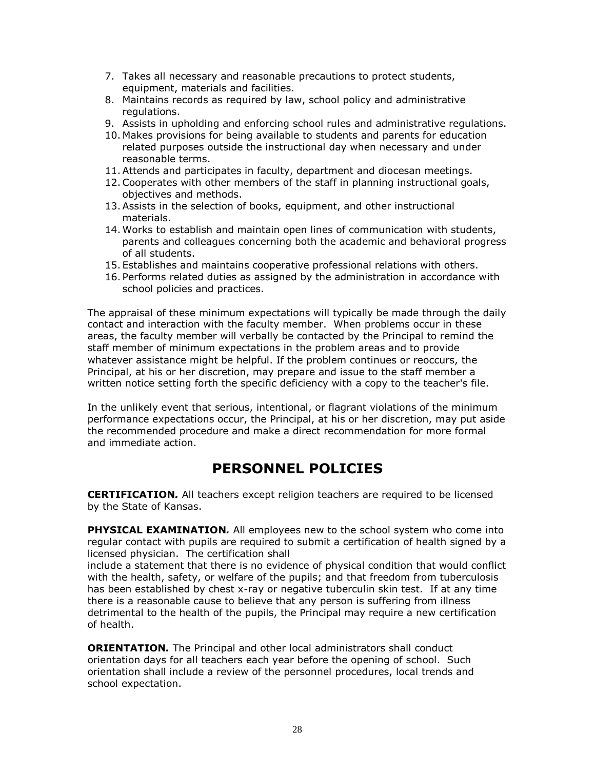- 7. Takes all necessary and reasonable precautions to protect students, equipment, materials and facilities.
- 8. Maintains records as required by law, school policy and administrative regulations.
- 9. Assists in upholding and enforcing school rules and administrative regulations.
- 10. Makes provisions for being available to students and parents for education related purposes outside the instructional day when necessary and under reasonable terms.
- 11.Attends and participates in faculty, department and diocesan meetings.
- 12.Cooperates with other members of the staff in planning instructional goals, objectives and methods.
- 13.Assists in the selection of books, equipment, and other instructional materials.
- 14. Works to establish and maintain open lines of communication with students, parents and colleagues concerning both the academic and behavioral progress of all students.
- 15. Establishes and maintains cooperative professional relations with others.
- 16. Performs related duties as assigned by the administration in accordance with school policies and practices.

The appraisal of these minimum expectations will typically be made through the daily contact and interaction with the faculty member. When problems occur in these areas, the faculty member will verbally be contacted by the Principal to remind the staff member of minimum expectations in the problem areas and to provide whatever assistance might be helpful. If the problem continues or reoccurs, the Principal, at his or her discretion, may prepare and issue to the staff member a written notice setting forth the specific deficiency with a copy to the teacher's file.

In the unlikely event that serious, intentional, or flagrant violations of the minimum performance expectations occur, the Principal, at his or her discretion, may put aside the recommended procedure and make a direct recommendation for more formal and immediate action.

## **PERSONNEL POLICIES**

<span id="page-27-0"></span>**CERTIFICATION***.* All teachers except religion teachers are required to be licensed by the State of Kansas.

**PHYSICAL EXAMINATION***.* All employees new to the school system who come into regular contact with pupils are required to submit a certification of health signed by a licensed physician. The certification shall

include a statement that there is no evidence of physical condition that would conflict with the health, safety, or welfare of the pupils; and that freedom from tuberculosis has been established by chest x-ray or negative tuberculin skin test. If at any time there is a reasonable cause to believe that any person is suffering from illness detrimental to the health of the pupils, the Principal may require a new certification of health.

**ORIENTATION***.* The Principal and other local administrators shall conduct orientation days for all teachers each year before the opening of school. Such orientation shall include a review of the personnel procedures, local trends and school expectation.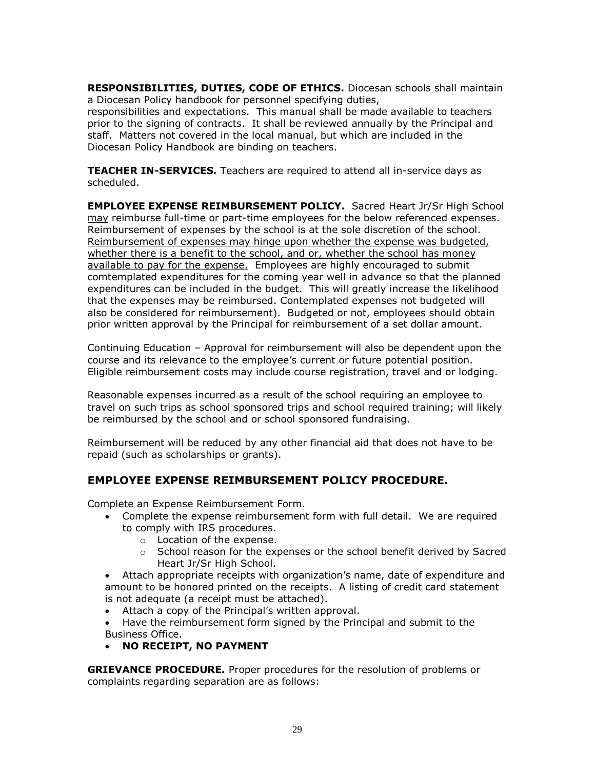**RESPONSIBILITIES, DUTIES, CODE OF ETHICS.** Diocesan schools shall maintain a Diocesan Policy handbook for personnel specifying duties,

responsibilities and expectations. This manual shall be made available to teachers prior to the signing of contracts. It shall be reviewed annually by the Principal and staff. Matters not covered in the local manual, but which are included in the Diocesan Policy Handbook are binding on teachers.

**TEACHER IN-SERVICES***.* Teachers are required to attend all in-service days as scheduled.

**EMPLOYEE EXPENSE REIMBURSEMENT POLICY.**Sacred Heart Jr/Sr High School may reimburse full-time or part-time employees for the below referenced expenses. Reimbursement of expenses by the school is at the sole discretion of the school. Reimbursement of expenses may hinge upon whether the expense was budgeted, whether there is a benefit to the school, and or, whether the school has money available to pay for the expense. Employees are highly encouraged to submit comtemplated expenditures for the coming year well in advance so that the planned expenditures can be included in the budget. This will greatly increase the likelihood that the expenses may be reimbursed. Contemplated expenses not budgeted will also be considered for reimbursement). Budgeted or not, employees should obtain prior written approval by the Principal for reimbursement of a set dollar amount.

Continuing Education – Approval for reimbursement will also be dependent upon the course and its relevance to the employee's current or future potential position. Eligible reimbursement costs may include course registration, travel and or lodging.

Reasonable expenses incurred as a result of the school requiring an employee to travel on such trips as school sponsored trips and school required training; will likely be reimbursed by the school and or school sponsored fundraising.

Reimbursement will be reduced by any other financial aid that does not have to be repaid (such as scholarships or grants).

#### **EMPLOYEE EXPENSE REIMBURSEMENT POLICY PROCEDURE.**

Complete an Expense Reimbursement Form.

- Complete the expense reimbursement form with full detail. We are required to comply with IRS procedures.
	- o Location of the expense.
	- $\circ$  School reason for the expenses or the school benefit derived by Sacred Heart Jr/Sr High School.
- Attach appropriate receipts with organization's name, date of expenditure and amount to be honored printed on the receipts. A listing of credit card statement is not adequate (a receipt must be attached).
- Attach a copy of the Principal's written approval.
- Have the reimbursement form signed by the Principal and submit to the Business Office.
- **NO RECEIPT, NO PAYMENT**

**GRIEVANCE PROCEDURE***.* Proper procedures for the resolution of problems or complaints regarding separation are as follows: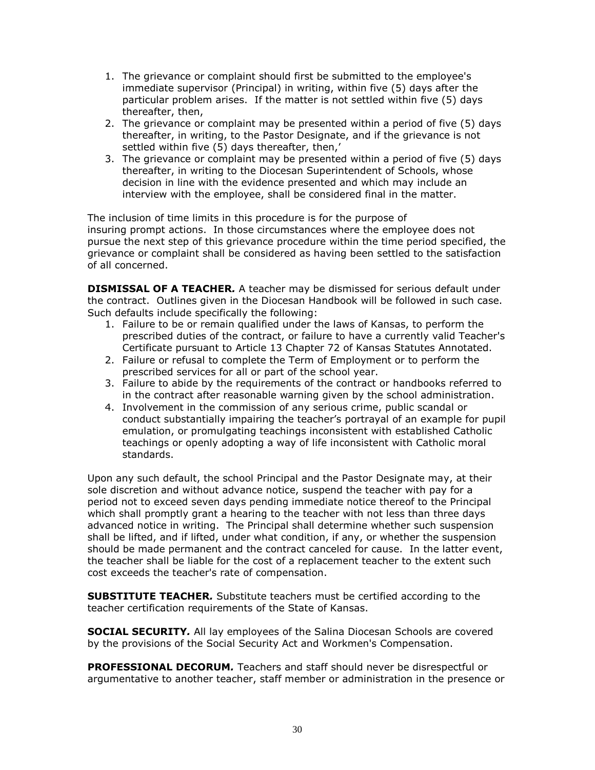- 1. The grievance or complaint should first be submitted to the employee's immediate supervisor (Principal) in writing, within five (5) days after the particular problem arises. If the matter is not settled within five (5) days thereafter, then,
- 2. The grievance or complaint may be presented within a period of five (5) days thereafter, in writing, to the Pastor Designate, and if the grievance is not settled within five (5) days thereafter, then,'
- 3. The grievance or complaint may be presented within a period of five (5) days thereafter, in writing to the Diocesan Superintendent of Schools, whose decision in line with the evidence presented and which may include an interview with the employee, shall be considered final in the matter.

The inclusion of time limits in this procedure is for the purpose of insuring prompt actions. In those circumstances where the employee does not pursue the next step of this grievance procedure within the time period specified, the grievance or complaint shall be considered as having been settled to the satisfaction of all concerned.

**DISMISSAL OF A TEACHER***.* A teacher may be dismissed for serious default under the contract. Outlines given in the Diocesan Handbook will be followed in such case. Such defaults include specifically the following:

- 1. Failure to be or remain qualified under the laws of Kansas, to perform the prescribed duties of the contract, or failure to have a currently valid Teacher's Certificate pursuant to Article 13 Chapter 72 of Kansas Statutes Annotated.
- 2. Failure or refusal to complete the Term of Employment or to perform the prescribed services for all or part of the school year.
- 3. Failure to abide by the requirements of the contract or handbooks referred to in the contract after reasonable warning given by the school administration.
- 4. Involvement in the commission of any serious crime, public scandal or conduct substantially impairing the teacher's portrayal of an example for pupil emulation, or promulgating teachings inconsistent with established Catholic teachings or openly adopting a way of life inconsistent with Catholic moral standards.

Upon any such default, the school Principal and the Pastor Designate may, at their sole discretion and without advance notice, suspend the teacher with pay for a period not to exceed seven days pending immediate notice thereof to the Principal which shall promptly grant a hearing to the teacher with not less than three days advanced notice in writing. The Principal shall determine whether such suspension shall be lifted, and if lifted, under what condition, if any, or whether the suspension should be made permanent and the contract canceled for cause. In the latter event, the teacher shall be liable for the cost of a replacement teacher to the extent such cost exceeds the teacher's rate of compensation.

**SUBSTITUTE TEACHER***.* Substitute teachers must be certified according to the teacher certification requirements of the State of Kansas.

**SOCIAL SECURITY***.* All lay employees of the Salina Diocesan Schools are covered by the provisions of the Social Security Act and Workmen's Compensation.

**PROFESSIONAL DECORUM***.* Teachers and staff should never be disrespectful or argumentative to another teacher, staff member or administration in the presence or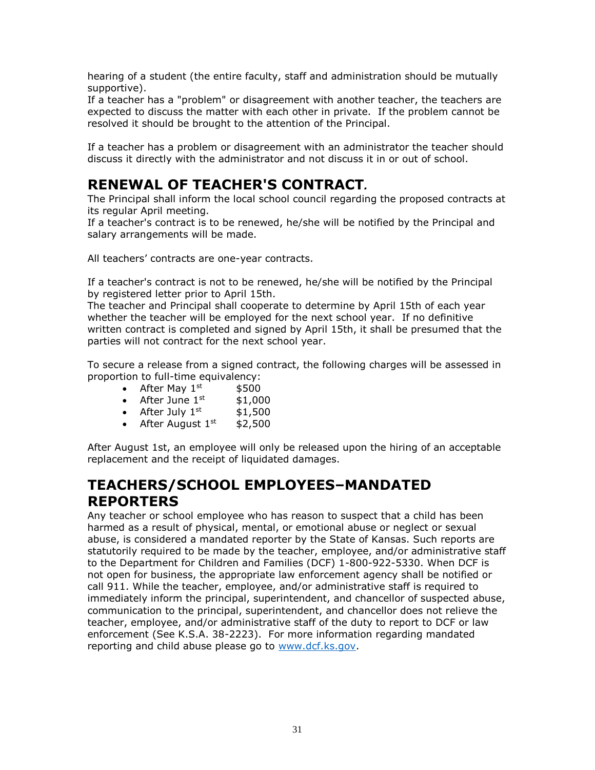hearing of a student (the entire faculty, staff and administration should be mutually supportive).

If a teacher has a "problem" or disagreement with another teacher, the teachers are expected to discuss the matter with each other in private. If the problem cannot be resolved it should be brought to the attention of the Principal.

If a teacher has a problem or disagreement with an administrator the teacher should discuss it directly with the administrator and not discuss it in or out of school.

## <span id="page-30-0"></span>**RENEWAL OF TEACHER'S CONTRACT***.*

The Principal shall inform the local school council regarding the proposed contracts at its regular April meeting.

If a teacher's contract is to be renewed, he/she will be notified by the Principal and salary arrangements will be made.

All teachers' contracts are one-year contracts.

If a teacher's contract is not to be renewed, he/she will be notified by the Principal by registered letter prior to April 15th.

The teacher and Principal shall cooperate to determine by April 15th of each year whether the teacher will be employed for the next school year. If no definitive written contract is completed and signed by April 15th, it shall be presumed that the parties will not contract for the next school year.

To secure a release from a signed contract, the following charges will be assessed in proportion to full-time equivalency:

- After May  $1^{st}$  \$500
- After June  $1<sup>st</sup>$  \$1,000
- After July  $1<sup>st</sup>$  \$1,500
- After August  $1<sup>st</sup>$  \$2,500

After August 1st, an employee will only be released upon the hiring of an acceptable replacement and the receipt of liquidated damages.

## <span id="page-30-1"></span>**TEACHERS/SCHOOL EMPLOYEES–MANDATED REPORTERS**

Any teacher or school employee who has reason to suspect that a child has been harmed as a result of physical, mental, or emotional abuse or neglect or sexual abuse, is considered a mandated reporter by the State of Kansas. Such reports are statutorily required to be made by the teacher, employee, and/or administrative staff to the Department for Children and Families (DCF) 1-800-922-5330. When DCF is not open for business, the appropriate law enforcement agency shall be notified or call 911. While the teacher, employee, and/or administrative staff is required to immediately inform the principal, superintendent, and chancellor of suspected abuse, communication to the principal, superintendent, and chancellor does not relieve the teacher, employee, and/or administrative staff of the duty to report to DCF or law enforcement (See K.S.A. 38-2223). For more information regarding mandated reporting and child abuse please go to [www.dcf.ks.gov.](http://www.dcf.ks.gov/)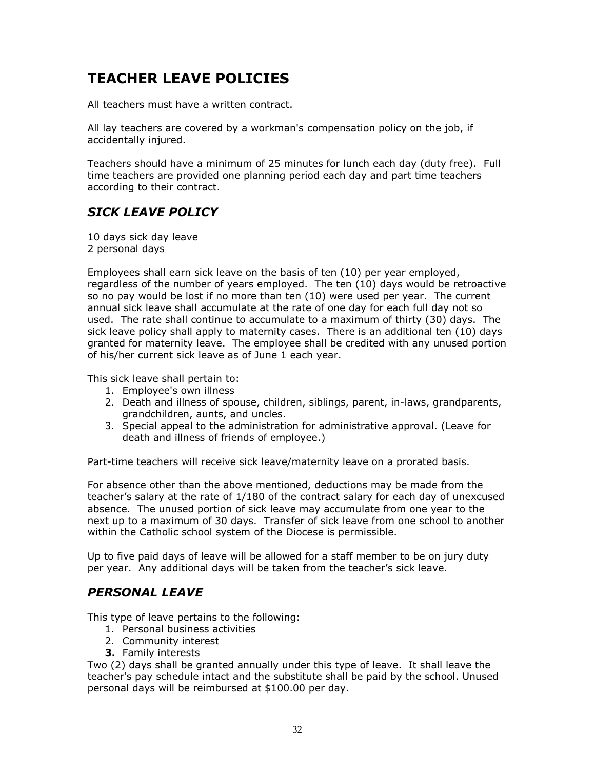# <span id="page-31-0"></span>**TEACHER LEAVE POLICIES**

All teachers must have a written contract.

All lay teachers are covered by a workman's compensation policy on the job, if accidentally injured.

Teachers should have a minimum of 25 minutes for lunch each day (duty free). Full time teachers are provided one planning period each day and part time teachers according to their contract.

#### <span id="page-31-1"></span>*SICK LEAVE POLICY*

10 days sick day leave 2 personal days

Employees shall earn sick leave on the basis of ten (10) per year employed, regardless of the number of years employed. The ten (10) days would be retroactive so no pay would be lost if no more than ten (10) were used per year. The current annual sick leave shall accumulate at the rate of one day for each full day not so used. The rate shall continue to accumulate to a maximum of thirty (30) days. The sick leave policy shall apply to maternity cases. There is an additional ten (10) days granted for maternity leave. The employee shall be credited with any unused portion of his/her current sick leave as of June 1 each year.

This sick leave shall pertain to:

- 1. Employee's own illness
- 2. Death and illness of spouse, children, siblings, parent, in-laws, grandparents, grandchildren, aunts, and uncles.
- 3. Special appeal to the administration for administrative approval. (Leave for death and illness of friends of employee.)

Part-time teachers will receive sick leave/maternity leave on a prorated basis.

For absence other than the above mentioned, deductions may be made from the teacher's salary at the rate of 1/180 of the contract salary for each day of unexcused absence. The unused portion of sick leave may accumulate from one year to the next up to a maximum of 30 days. Transfer of sick leave from one school to another within the Catholic school system of the Diocese is permissible.

Up to five paid days of leave will be allowed for a staff member to be on jury duty per year. Any additional days will be taken from the teacher's sick leave.

#### <span id="page-31-2"></span>*PERSONAL LEAVE*

This type of leave pertains to the following:

- 1. Personal business activities
- 2. Community interest
- **3.** Family interests

Two (2) days shall be granted annually under this type of leave. It shall leave the teacher's pay schedule intact and the substitute shall be paid by the school. Unused personal days will be reimbursed at \$100.00 per day.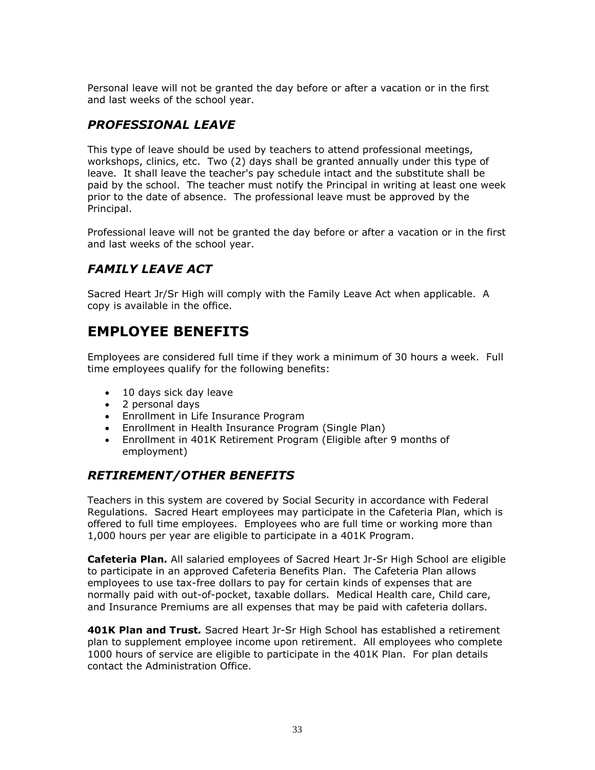Personal leave will not be granted the day before or after a vacation or in the first and last weeks of the school year.

#### <span id="page-32-0"></span>*PROFESSIONAL LEAVE*

This type of leave should be used by teachers to attend professional meetings, workshops, clinics, etc. Two (2) days shall be granted annually under this type of leave. It shall leave the teacher's pay schedule intact and the substitute shall be paid by the school. The teacher must notify the Principal in writing at least one week prior to the date of absence. The professional leave must be approved by the Principal.

Professional leave will not be granted the day before or after a vacation or in the first and last weeks of the school year.

### <span id="page-32-1"></span>*FAMILY LEAVE ACT*

Sacred Heart Jr/Sr High will comply with the Family Leave Act when applicable. A copy is available in the office.

## <span id="page-32-2"></span>**EMPLOYEE BENEFITS**

Employees are considered full time if they work a minimum of 30 hours a week. Full time employees qualify for the following benefits:

- 10 days sick day leave
- 2 personal days
- Enrollment in Life Insurance Program
- Enrollment in Health Insurance Program (Single Plan)
- Enrollment in 401K Retirement Program (Eligible after 9 months of employment)

#### <span id="page-32-3"></span>*RETIREMENT/OTHER BENEFITS*

Teachers in this system are covered by Social Security in accordance with Federal Regulations. Sacred Heart employees may participate in the Cafeteria Plan, which is offered to full time employees. Employees who are full time or working more than 1,000 hours per year are eligible to participate in a 401K Program.

**Cafeteria Plan***.* All salaried employees of Sacred Heart Jr-Sr High School are eligible to participate in an approved Cafeteria Benefits Plan. The Cafeteria Plan allows employees to use tax-free dollars to pay for certain kinds of expenses that are normally paid with out-of-pocket, taxable dollars. Medical Health care, Child care, and Insurance Premiums are all expenses that may be paid with cafeteria dollars.

**401K Plan and Trust***.* Sacred Heart Jr-Sr High School has established a retirement plan to supplement employee income upon retirement. All employees who complete 1000 hours of service are eligible to participate in the 401K Plan. For plan details contact the Administration Office.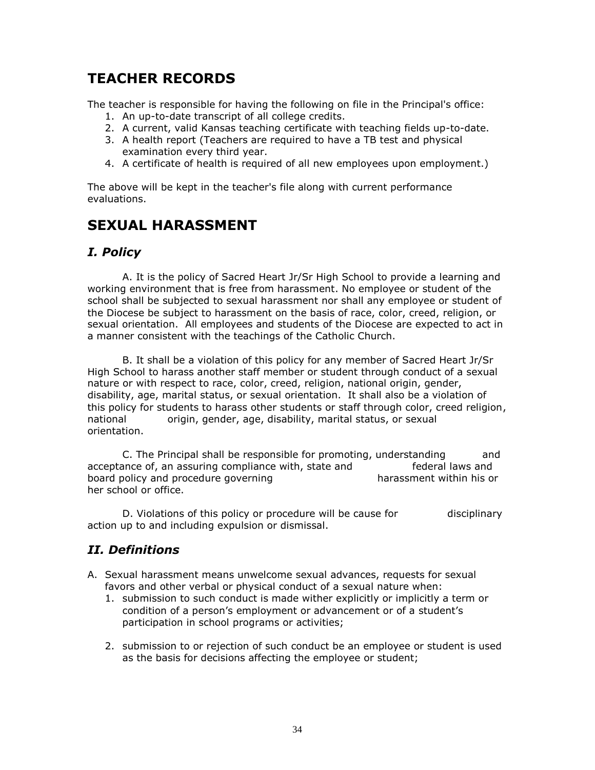# <span id="page-33-0"></span>**TEACHER RECORDS**

The teacher is responsible for having the following on file in the Principal's office:

- 1. An up-to-date transcript of all college credits.
- 2. A current, valid Kansas teaching certificate with teaching fields up-to-date.
- 3. A health report (Teachers are required to have a TB test and physical examination every third year.
- 4. A certificate of health is required of all new employees upon employment.)

The above will be kept in the teacher's file along with current performance evaluations.

## <span id="page-33-1"></span>**SEXUAL HARASSMENT**

#### <span id="page-33-2"></span>*I. Policy*

A. It is the policy of Sacred Heart Jr/Sr High School to provide a learning and working environment that is free from harassment. No employee or student of the school shall be subjected to sexual harassment nor shall any employee or student of the Diocese be subject to harassment on the basis of race, color, creed, religion, or sexual orientation. All employees and students of the Diocese are expected to act in a manner consistent with the teachings of the Catholic Church.

B. It shall be a violation of this policy for any member of Sacred Heart Jr/Sr High School to harass another staff member or student through conduct of a sexual nature or with respect to race, color, creed, religion, national origin, gender, disability, age, marital status, or sexual orientation. It shall also be a violation of this policy for students to harass other students or staff through color, creed religion, national origin, gender, age, disability, marital status, or sexual orientation.

C. The Principal shall be responsible for promoting, understanding and acceptance of, an assuring compliance with, state and federal laws and board policy and procedure governing harassment within his or her school or office.

D. Violations of this policy or procedure will be cause for disciplinary action up to and including expulsion or dismissal.

#### <span id="page-33-3"></span>*II. Definitions*

- A. Sexual harassment means unwelcome sexual advances, requests for sexual favors and other verbal or physical conduct of a sexual nature when:
	- 1. submission to such conduct is made wither explicitly or implicitly a term or condition of a person's employment or advancement or of a student's participation in school programs or activities;
	- 2. submission to or rejection of such conduct be an employee or student is used as the basis for decisions affecting the employee or student;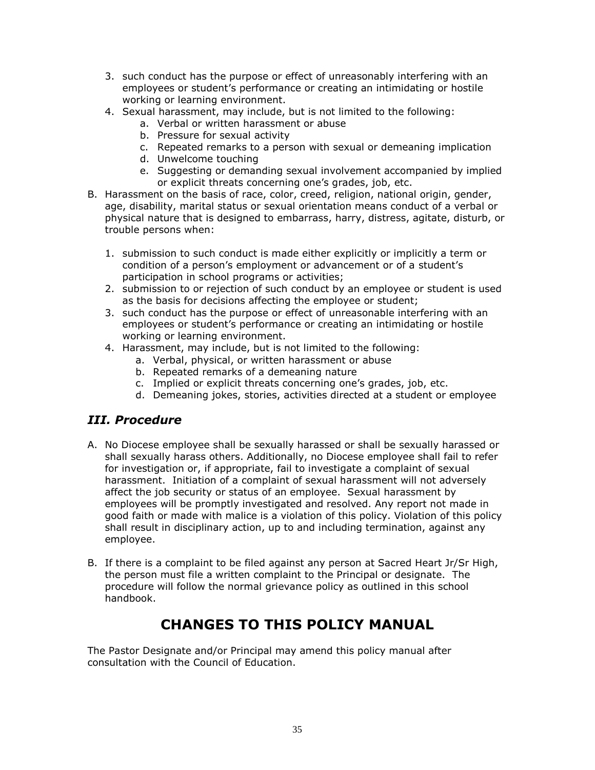- 3. such conduct has the purpose or effect of unreasonably interfering with an employees or student's performance or creating an intimidating or hostile working or learning environment.
- 4. Sexual harassment, may include, but is not limited to the following:
	- a. Verbal or written harassment or abuse
		- b. Pressure for sexual activity
		- c. Repeated remarks to a person with sexual or demeaning implication
		- d. Unwelcome touching
		- e. Suggesting or demanding sexual involvement accompanied by implied or explicit threats concerning one's grades, job, etc.
- B. Harassment on the basis of race, color, creed, religion, national origin, gender, age, disability, marital status or sexual orientation means conduct of a verbal or physical nature that is designed to embarrass, harry, distress, agitate, disturb, or trouble persons when:
	- 1. submission to such conduct is made either explicitly or implicitly a term or condition of a person's employment or advancement or of a student's participation in school programs or activities;
	- 2. submission to or rejection of such conduct by an employee or student is used as the basis for decisions affecting the employee or student;
	- 3. such conduct has the purpose or effect of unreasonable interfering with an employees or student's performance or creating an intimidating or hostile working or learning environment.
	- 4. Harassment, may include, but is not limited to the following:
		- a. Verbal, physical, or written harassment or abuse
		- b. Repeated remarks of a demeaning nature
		- c. Implied or explicit threats concerning one's grades, job, etc.
		- d. Demeaning jokes, stories, activities directed at a student or employee

#### <span id="page-34-0"></span>*III. Procedure*

- A. No Diocese employee shall be sexually harassed or shall be sexually harassed or shall sexually harass others. Additionally, no Diocese employee shall fail to refer for investigation or, if appropriate, fail to investigate a complaint of sexual harassment. Initiation of a complaint of sexual harassment will not adversely affect the job security or status of an employee. Sexual harassment by employees will be promptly investigated and resolved. Any report not made in good faith or made with malice is a violation of this policy. Violation of this policy shall result in disciplinary action, up to and including termination, against any employee.
- B. If there is a complaint to be filed against any person at Sacred Heart Jr/Sr High, the person must file a written complaint to the Principal or designate. The procedure will follow the normal grievance policy as outlined in this school handbook.

## **CHANGES TO THIS POLICY MANUAL**

<span id="page-34-1"></span>The Pastor Designate and/or Principal may amend this policy manual after consultation with the Council of Education.